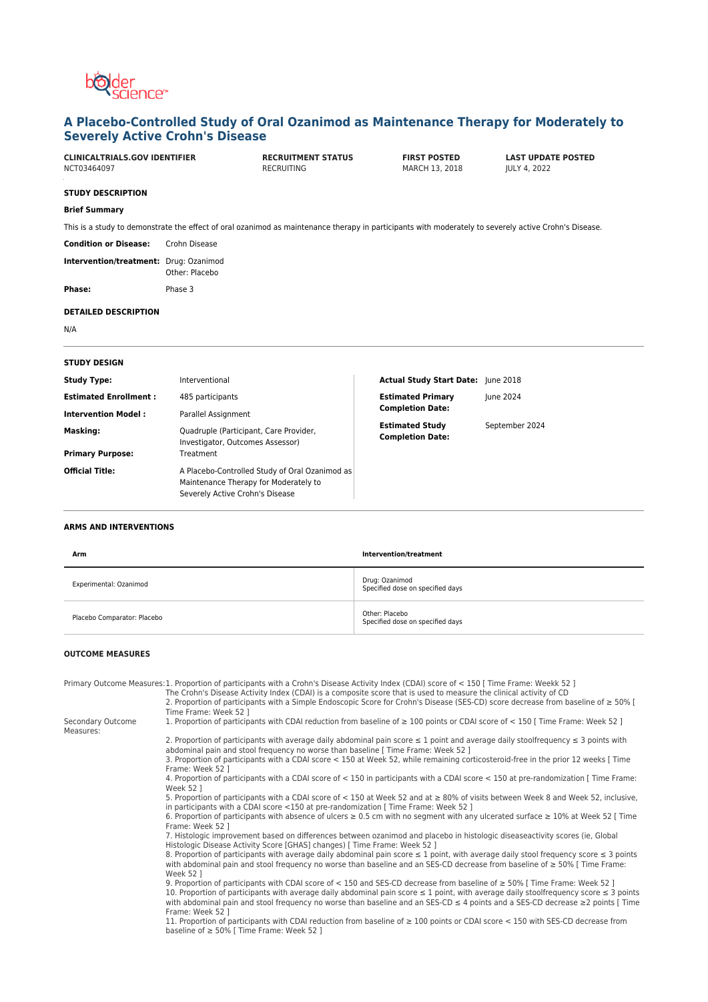

# **A Placebo-Controlled Study of Oral Ozanimod as Maintenance Therapy for Moderately to Severely Active Crohn's Disease**

| <b>CLINICALTRIALS.GOV IDENTIFIER</b><br>NCT03464097 |                                                                            | <b>RECRUITMENT STATUS</b><br><b>RECRUITING</b> | <b>FIRST POSTED</b><br>MARCH 13, 2018                                                                                                                 | <b>LAST UPDATE POSTED</b><br><b>JULY 4, 2022</b> |
|-----------------------------------------------------|----------------------------------------------------------------------------|------------------------------------------------|-------------------------------------------------------------------------------------------------------------------------------------------------------|--------------------------------------------------|
| <b>STUDY DESCRIPTION</b>                            |                                                                            |                                                |                                                                                                                                                       |                                                  |
| <b>Brief Summary</b>                                |                                                                            |                                                |                                                                                                                                                       |                                                  |
|                                                     |                                                                            |                                                | This is a study to demonstrate the effect of oral ozanimod as maintenance therapy in participants with moderately to severely active Crohn's Disease. |                                                  |
| <b>Condition or Disease:</b>                        | Crohn Disease                                                              |                                                |                                                                                                                                                       |                                                  |
| Intervention/treatment: Drug: Ozanimod              | Other: Placebo                                                             |                                                |                                                                                                                                                       |                                                  |
| Phase:                                              | Phase 3                                                                    |                                                |                                                                                                                                                       |                                                  |
| <b>DETAILED DESCRIPTION</b>                         |                                                                            |                                                |                                                                                                                                                       |                                                  |
| N/A                                                 |                                                                            |                                                |                                                                                                                                                       |                                                  |
| <b>STUDY DESIGN</b>                                 |                                                                            |                                                |                                                                                                                                                       |                                                  |
| <b>Study Type:</b>                                  | Interventional                                                             |                                                | Actual Study Start Date: June 2018                                                                                                                    |                                                  |
| <b>Estimated Enrollment:</b>                        | 485 participants                                                           |                                                | <b>Estimated Primary</b>                                                                                                                              | June 2024                                        |
| <b>Intervention Model:</b>                          | Parallel Assignment                                                        |                                                | <b>Completion Date:</b>                                                                                                                               |                                                  |
| Masking:                                            | Quadruple (Participant, Care Provider,<br>Investigator, Outcomes Assessor) |                                                | <b>Estimated Study</b><br><b>Completion Date:</b>                                                                                                     | September 2024                                   |
| <b>Primary Purpose:</b>                             | Treatment                                                                  |                                                |                                                                                                                                                       |                                                  |
| <b>Official Title:</b>                              | Maintenance Therapy for Moderately to                                      | A Placebo-Controlled Study of Oral Ozanimod as |                                                                                                                                                       |                                                  |

#### **ARMS AND INTERVENTIONS**

| Arm                         | Intervention/treatment                             |
|-----------------------------|----------------------------------------------------|
| Experimental: Ozanimod      | Drug: Ozanimod<br>Specified dose on specified days |
| Placebo Comparator: Placebo | Other: Placebo<br>Specified dose on specified days |

#### **OUTCOME MEASURES**

Measures:

Primary Outcome Measures:1. Proportion of participants with a Crohn's Disease Activity Index (CDAI) score of < 150 [ Time Frame: Weekk 52 ]

Severely Active Crohn's Disease

The Crohn's Disease Activity Index (CDAI) is a composite score that is used to measure the clinical activity of CD

2. Proportion of participants with a Simple Endoscopic Score for Crohn's Disease (SES-CD) score decrease from baseline of ≥ 50% [ Time Frame: Week 52 ] Secondary Outcome

1. Proportion of participants with CDAI reduction from baseline of ≥ 100 points or CDAI score of < 150 [ Time Frame: Week 52 ]

2. Proportion of participants with average daily abdominal pain score ≤ 1 point and average daily stoolfrequency ≤ 3 points with abdominal pain and stool frequency no worse than baseline [ Time Frame: Week 52 ]

3. Proportion of participants with a CDAI score < 150 at Week 52, while remaining corticosteroid-free in the prior 12 weeks [ Time Frame: Week 52 ]

4. Proportion of participants with a CDAI score of < 150 in participants with a CDAI score < 150 at pre-randomization [ Time Frame: Week 52 ]

5. Proportion of participants with a CDAI score of < 150 at Week 52 and at ≥ 80% of visits between Week 8 and Week 52, inclusive, in participants with a CDAI score <150 at pre-randomization [ Time Frame: Week 52 ]

6. Proportion of participants with absence of ulcers ≥ 0.5 cm with no segment with any ulcerated surface ≥ 10% at Week 52 [ Time<br>Frame: Week 52 ]

7. Histologic improvement based on differences between ozanimod and placebo in histologic diseaseactivity scores (ie, Global Histologic Disease Activity Score [GHAS] changes) [ Time Frame: Week 52 ]

8. Proportion of participants with average daily abdominal pain score ≤ 1 point, with average daily stool frequency score ≤ 3 points with abdominal pain and stool frequency no worse than baseline and an SES-CD decrease from baseline of ≥ 50% [ Time Frame: Week 52 ]

9. Proportion of participants with CDAI score of < 150 and SES-CD decrease from baseline of ≥ 50% [ Time Frame: Week 52 ] 10. Proportion of participants with average daily abdominal pain score ≤ 1 point, with average daily stoolfrequency score ≤ 3 points with abdominal pain and stool frequency no worse than baseline and an SES-CD ≤ 4 points and a SES-CD decrease ≥2 points [ Time Frame: Week 52 ]

11. Proportion of participants with CDAI reduction from baseline of ≥ 100 points or CDAI score < 150 with SES-CD decrease from baseline of ≥ 50% [ Time Frame: Week 52 ]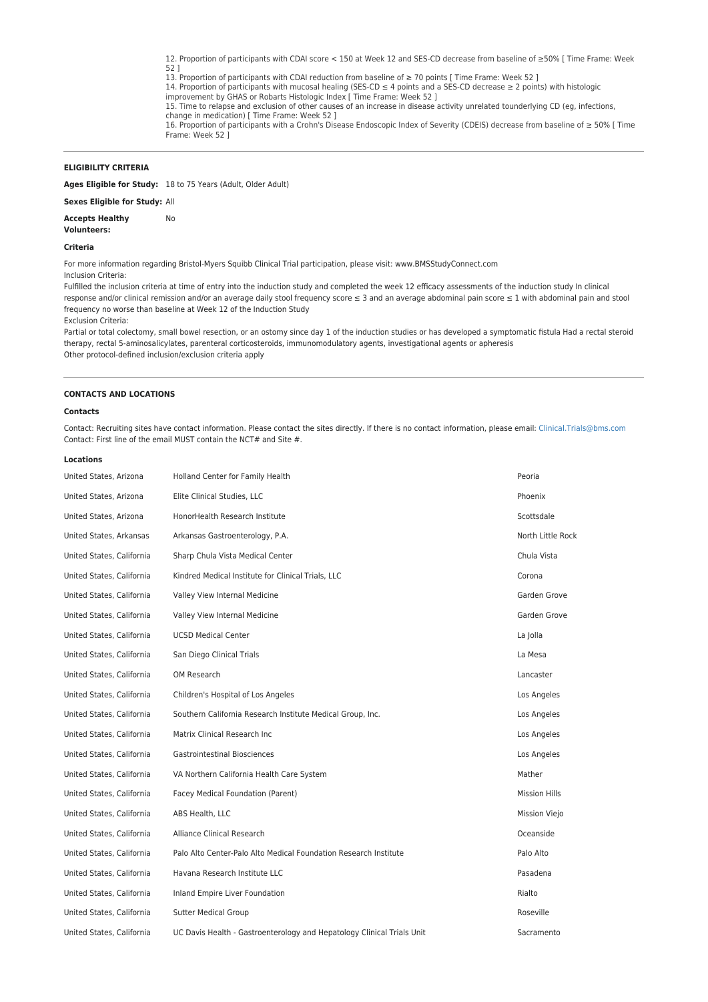12. Proportion of participants with CDAI score < 150 at Week 12 and SES-CD decrease from baseline of ≥50% [ Time Frame: Week 52 ] 13. Proportion of participants with CDAI reduction from baseline of ≥ 70 points [ Time Frame: Week 52 ]

14. Proportion of participants with mucosal healing (SES-CD ≤ 4 points and a SES-CD decrease ≥ 2 points) with histologic improvement by GHAS or Robarts Histologic Index [ Time Frame: Week 52 ]

15. Time to relapse and exclusion of other causes of an increase in disease activity unrelated tounderlying CD (eg, infections, change in medication) [ Time Frame: Week 52 ]

16. Proportion of participants with a Crohn's Disease Endoscopic Index of Severity (CDEIS) decrease from baseline of ≥ 50% [ Time Frame: Week 52 ]

## **ELIGIBILITY CRITERIA**

**Ages Eligible for Study:** 18 to 75 Years (Adult, Older Adult)

**Sexes Eligible for Study:** All

**Accepts Healthy** No

## **Volunteers: Criteria**

For more information regarding Bristol-Myers Squibb Clinical Trial participation, please visit: www.BMSStudyConnect.com

#### Inclusion Criteria:

Fulfilled the inclusion criteria at time of entry into the induction study and completed the week 12 efficacy assessments of the induction study In clinical response and/or clinical remission and/or an average daily stool frequency score ≤ 3 and an average abdominal pain score ≤ 1 with abdominal pain and stool frequency no worse than baseline at Week 12 of the Induction Study

Exclusion Criteria:

Partial or total colectomy, small bowel resection, or an ostomy since day 1 of the induction studies or has developed a symptomatic fistula Had a rectal steroid therapy, rectal 5-aminosalicylates, parenteral corticosteroids, immunomodulatory agents, investigational agents or apheresis Other protocol-defined inclusion/exclusion criteria apply

#### **CONTACTS AND LOCATIONS**

### **Contacts**

Contact: Recruiting sites have contact information. Please contact the sites directly. If there is no contact information, please email: [Clinical.Trials@bms.com](mailto:Clinical.Trials@bms.com) Contact: First line of the email MUST contain the NCT# and Site #.

#### **Locations**

| United States, Arizona    | Holland Center for Family Health                                       | Peoria               |
|---------------------------|------------------------------------------------------------------------|----------------------|
| United States, Arizona    | Elite Clinical Studies, LLC                                            | Phoenix              |
| United States, Arizona    | HonorHealth Research Institute                                         | Scottsdale           |
| United States, Arkansas   | Arkansas Gastroenterology, P.A.                                        | North Little Rock    |
| United States, California | Sharp Chula Vista Medical Center                                       | Chula Vista          |
| United States, California | Kindred Medical Institute for Clinical Trials, LLC                     | Corona               |
| United States, California | Valley View Internal Medicine                                          | Garden Grove         |
| United States, California | Valley View Internal Medicine                                          | Garden Grove         |
| United States, California | <b>UCSD Medical Center</b>                                             | La Jolla             |
| United States, California | San Diego Clinical Trials                                              | La Mesa              |
| United States, California | OM Research                                                            | Lancaster            |
| United States, California | Children's Hospital of Los Angeles                                     | Los Angeles          |
| United States, California | Southern California Research Institute Medical Group, Inc.             | Los Angeles          |
| United States, California | Matrix Clinical Research Inc                                           | Los Angeles          |
| United States, California | <b>Gastrointestinal Biosciences</b>                                    | Los Angeles          |
| United States, California | VA Northern California Health Care System                              | Mather               |
| United States, California | Facey Medical Foundation (Parent)                                      | <b>Mission Hills</b> |
| United States, California | ABS Health, LLC                                                        | <b>Mission Viejo</b> |
| United States, California | Alliance Clinical Research                                             | Oceanside            |
| United States, California | Palo Alto Center-Palo Alto Medical Foundation Research Institute       | Palo Alto            |
| United States, California | Havana Research Institute LLC                                          | Pasadena             |
| United States, California | Inland Empire Liver Foundation                                         | Rialto               |
| United States, California | <b>Sutter Medical Group</b>                                            | Roseville            |
| United States, California | UC Davis Health - Gastroenterology and Hepatology Clinical Trials Unit | Sacramento           |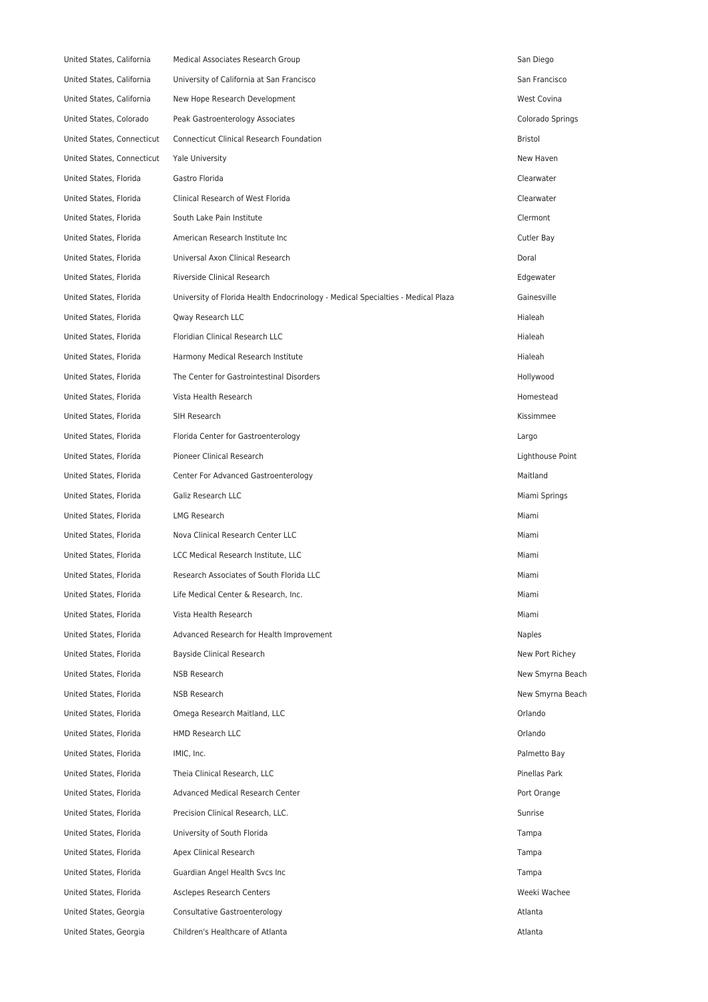| United States, California  | Medical Associates Research Group                                                | San Diego        |
|----------------------------|----------------------------------------------------------------------------------|------------------|
| United States, California  | University of California at San Francisco                                        | San Francisco    |
| United States, California  | New Hope Research Development                                                    | West Covina      |
| United States, Colorado    | Peak Gastroenterology Associates                                                 | Colorado Springs |
| United States, Connecticut | Connecticut Clinical Research Foundation                                         | <b>Bristol</b>   |
| United States, Connecticut | <b>Yale University</b>                                                           | New Haven        |
| United States, Florida     | Gastro Florida                                                                   | Clearwater       |
| United States, Florida     | Clinical Research of West Florida                                                | Clearwater       |
| United States, Florida     | South Lake Pain Institute                                                        | Clermont         |
| United States, Florida     | American Research Institute Inc                                                  | Cutler Bay       |
| United States, Florida     | Universal Axon Clinical Research                                                 | Doral            |
| United States, Florida     | Riverside Clinical Research                                                      | Edgewater        |
| United States, Florida     | University of Florida Health Endocrinology - Medical Specialties - Medical Plaza | Gainesville      |
| United States, Florida     | Qway Research LLC                                                                | Hialeah          |
| United States, Florida     | Floridian Clinical Research LLC                                                  | Hialeah          |
| United States, Florida     | Harmony Medical Research Institute                                               | Hialeah          |
| United States, Florida     | The Center for Gastrointestinal Disorders                                        | Hollywood        |
| United States, Florida     | Vista Health Research                                                            | Homestead        |
| United States, Florida     | SIH Research                                                                     | Kissimmee        |
| United States, Florida     | Florida Center for Gastroenterology                                              | Largo            |
| United States, Florida     | Pioneer Clinical Research                                                        | Lighthouse Point |
| United States, Florida     | Center For Advanced Gastroenterology                                             | Maitland         |
| United States, Florida     | Galiz Research LLC                                                               | Miami Springs    |
| United States, Florida     | LMG Research                                                                     | Miami            |
| United States, Florida     | Nova Clinical Research Center LLC                                                | Miami            |
| United States, Florida     | LCC Medical Research Institute, LLC                                              | Miami            |
| United States, Florida     | Research Associates of South Florida LLC                                         | Miami            |
| United States, Florida     | Life Medical Center & Research, Inc.                                             | Miami            |
| United States, Florida     | Vista Health Research                                                            | Miami            |
| United States, Florida     | Advanced Research for Health Improvement                                         | <b>Naples</b>    |
| United States, Florida     | Bayside Clinical Research                                                        | New Port Richey  |
| United States, Florida     | <b>NSB Research</b>                                                              | New Smyrna Beach |
| United States, Florida     | NSB Research                                                                     | New Smyrna Beach |
| United States, Florida     | Omega Research Maitland, LLC                                                     | Orlando          |
| United States, Florida     | HMD Research LLC                                                                 | Orlando          |
| United States, Florida     | IMIC, Inc.                                                                       | Palmetto Bay     |
| United States, Florida     | Theia Clinical Research, LLC                                                     | Pinellas Park    |
| United States, Florida     | Advanced Medical Research Center                                                 | Port Orange      |
| United States, Florida     | Precision Clinical Research, LLC.                                                | Sunrise          |
| United States, Florida     | University of South Florida                                                      | Tampa            |
| United States, Florida     | Apex Clinical Research                                                           | Tampa            |
| United States, Florida     | Guardian Angel Health Svcs Inc                                                   | Tampa            |
| United States, Florida     | Asclepes Research Centers                                                        | Weeki Wachee     |
| United States, Georgia     | Consultative Gastroenterology                                                    | Atlanta          |
| United States, Georgia     | Children's Healthcare of Atlanta                                                 | Atlanta          |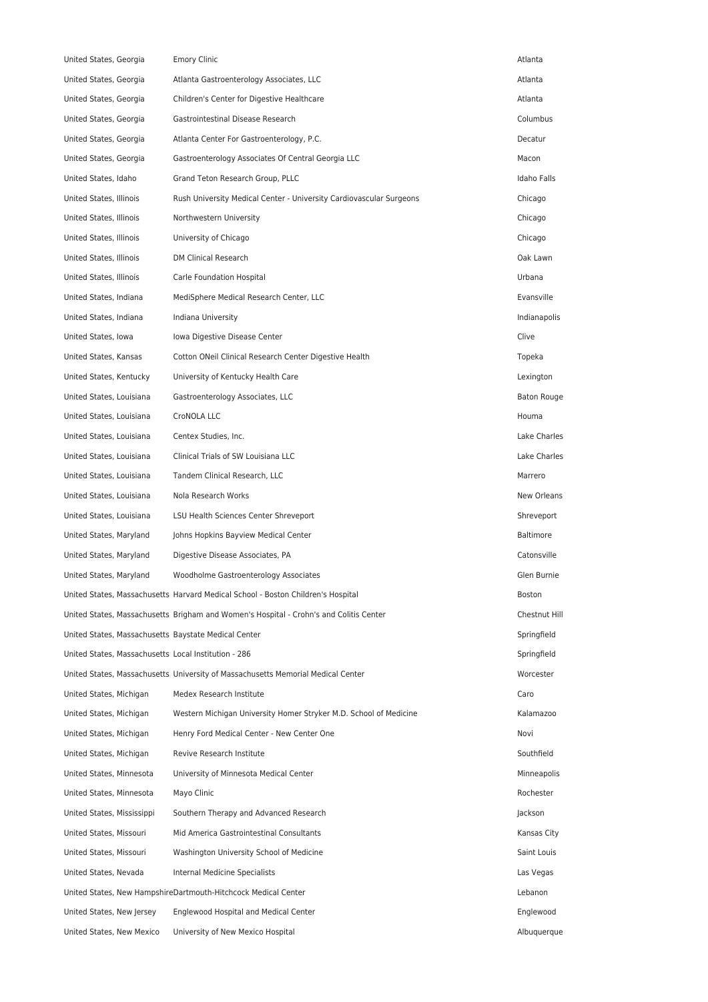| United States, Georgia                               | <b>Emory Clinic</b>                                                                    | Atlanta          |
|------------------------------------------------------|----------------------------------------------------------------------------------------|------------------|
| United States, Georgia                               | Atlanta Gastroenterology Associates, LLC                                               | Atlanta          |
| United States, Georgia                               | Children's Center for Digestive Healthcare                                             | Atlanta          |
| United States, Georgia                               | Gastrointestinal Disease Research                                                      | Columbus         |
| United States, Georgia                               | Atlanta Center For Gastroenterology, P.C.                                              | Decatur          |
| United States, Georgia                               | Gastroenterology Associates Of Central Georgia LLC                                     | Macon            |
| United States, Idaho                                 | Grand Teton Research Group, PLLC                                                       | Idaho Falls      |
| United States, Illinois                              | Rush University Medical Center - University Cardiovascular Surgeons                    | Chicago          |
| United States, Illinois                              | Northwestern University                                                                | Chicago          |
| United States, Illinois                              | University of Chicago                                                                  | Chicago          |
| United States, Illinois                              | <b>DM Clinical Research</b>                                                            | Oak Lawn         |
| United States, Illinois                              | Carle Foundation Hospital                                                              | Urbana           |
| United States, Indiana                               | MediSphere Medical Research Center, LLC                                                | Evansville       |
| United States, Indiana                               | Indiana University                                                                     | Indianapolis     |
| United States, Iowa                                  | Iowa Digestive Disease Center                                                          | Clive            |
| United States, Kansas                                | Cotton ONeil Clinical Research Center Digestive Health                                 | Topeka           |
| United States, Kentucky                              | University of Kentucky Health Care                                                     | Lexington        |
| United States, Louisiana                             | Gastroenterology Associates, LLC                                                       | Baton Rouge      |
| United States, Louisiana                             | CroNOLA LLC                                                                            | Houma            |
| United States, Louisiana                             | Centex Studies, Inc.                                                                   | Lake Charles     |
| United States, Louisiana                             | Clinical Trials of SW Louisiana LLC                                                    | Lake Charles     |
| United States, Louisiana                             | Tandem Clinical Research, LLC                                                          | Marrero          |
| United States, Louisiana                             | Nola Research Works                                                                    | New Orleans      |
| United States, Louisiana                             | LSU Health Sciences Center Shreveport                                                  | Shreveport       |
| United States, Maryland                              | Johns Hopkins Bayview Medical Center                                                   | <b>Baltimore</b> |
| United States, Maryland                              | Digestive Disease Associates, PA                                                       | Catonsville      |
| United States, Maryland                              | Woodholme Gastroenterology Associates                                                  | Glen Burnie      |
|                                                      | United States, Massachusetts Harvard Medical School - Boston Children's Hospital       | Boston           |
|                                                      | United States, Massachusetts Brigham and Women's Hospital - Crohn's and Colitis Center | Chestnut Hill    |
| United States, Massachusetts Baystate Medical Center |                                                                                        | Springfield      |
| United States, Massachusetts Local Institution - 286 |                                                                                        | Springfield      |
|                                                      | United States, Massachusetts University of Massachusetts Memorial Medical Center       | Worcester        |
| United States, Michigan                              | Medex Research Institute                                                               | Caro             |
| United States, Michigan                              | Western Michigan University Homer Stryker M.D. School of Medicine                      | Kalamazoo        |
| United States, Michigan                              | Henry Ford Medical Center - New Center One                                             | Novi             |
| United States, Michigan                              | Revive Research Institute                                                              | Southfield       |
| United States, Minnesota                             | University of Minnesota Medical Center                                                 | Minneapolis      |
| United States, Minnesota                             | Mayo Clinic                                                                            | Rochester        |
| United States, Mississippi                           | Southern Therapy and Advanced Research                                                 | Jackson          |
| United States, Missouri                              | Mid America Gastrointestinal Consultants                                               | Kansas City      |
| United States, Missouri                              | Washington University School of Medicine                                               | Saint Louis      |
| United States, Nevada                                | Internal Medicine Specialists                                                          | Las Vegas        |
|                                                      | United States, New HampshireDartmouth-Hitchcock Medical Center                         | Lebanon          |
| United States, New Jersey                            | Englewood Hospital and Medical Center                                                  | Englewood        |
| United States, New Mexico                            | University of New Mexico Hospital                                                      | Albuquerque      |
|                                                      |                                                                                        |                  |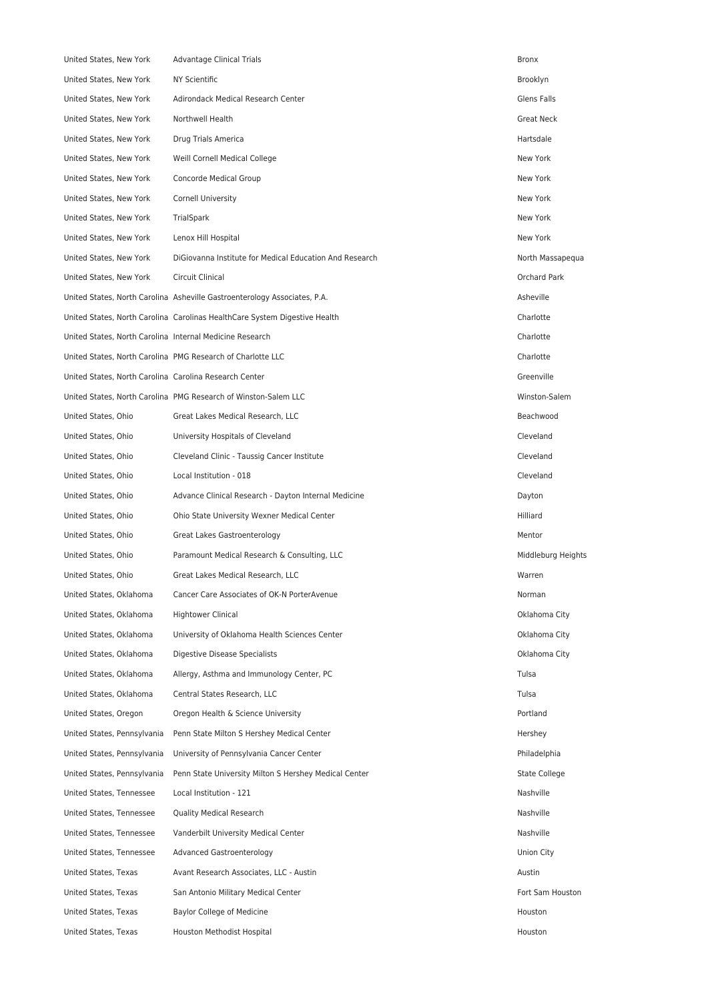| United States, New York                                  | Advantage Clinical Trials                                                  | Bronx                |
|----------------------------------------------------------|----------------------------------------------------------------------------|----------------------|
| United States, New York                                  | <b>NY Scientific</b>                                                       | Brooklyn             |
| United States, New York                                  | Adirondack Medical Research Center                                         | Glens Falls          |
| United States, New York                                  | Northwell Health                                                           | Great Neck           |
| United States, New York                                  | Drug Trials America                                                        | Hartsdale            |
| United States, New York                                  | Weill Cornell Medical College                                              | New York             |
| United States, New York                                  | Concorde Medical Group                                                     | New York             |
| United States, New York                                  | Cornell University                                                         | New York             |
| United States, New York                                  | TrialSpark                                                                 | New York             |
| United States, New York                                  | Lenox Hill Hospital                                                        | New York             |
| United States, New York                                  | DiGiovanna Institute for Medical Education And Research                    | North Massapequa     |
| United States, New York                                  | Circuit Clinical                                                           | Orchard Park         |
|                                                          | United States, North Carolina Asheville Gastroenterology Associates, P.A.  | Asheville            |
|                                                          | United States, North Carolina Carolinas HealthCare System Digestive Health | Charlotte            |
| United States, North Carolina Internal Medicine Research |                                                                            | Charlotte            |
|                                                          | United States, North Carolina PMG Research of Charlotte LLC                | Charlotte            |
| United States, North Carolina Carolina Research Center   |                                                                            | Greenville           |
|                                                          | United States, North Carolina PMG Research of Winston-Salem LLC            | Winston-Salem        |
| United States, Ohio                                      | Great Lakes Medical Research, LLC                                          | Beachwood            |
| United States, Ohio                                      | University Hospitals of Cleveland                                          | Cleveland            |
| United States, Ohio                                      | Cleveland Clinic - Taussig Cancer Institute                                | Cleveland            |
| United States, Ohio                                      | Local Institution - 018                                                    | Cleveland            |
| United States, Ohio                                      | Advance Clinical Research - Dayton Internal Medicine                       | Dayton               |
| United States, Ohio                                      | Ohio State University Wexner Medical Center                                | Hilliard             |
| United States, Ohio                                      | Great Lakes Gastroenterology                                               | Mentor               |
| United States, Ohio                                      | Paramount Medical Research & Consulting, LLC                               | Middleburg Heights   |
| United States, Ohio                                      | Great Lakes Medical Research, LLC                                          | Warren               |
| United States, Oklahoma                                  | Cancer Care Associates of OK-N PorterAvenue                                | Norman               |
| United States, Oklahoma                                  | <b>Hightower Clinical</b>                                                  | Oklahoma City        |
| United States, Oklahoma                                  | University of Oklahoma Health Sciences Center                              | Oklahoma City        |
| United States, Oklahoma                                  | Digestive Disease Specialists                                              | Oklahoma City        |
| United States, Oklahoma                                  | Allergy, Asthma and Immunology Center, PC                                  | Tulsa                |
| United States, Oklahoma                                  | Central States Research, LLC                                               | Tulsa                |
| United States, Oregon                                    | Oregon Health & Science University                                         | Portland             |
| United States, Pennsylvania                              | Penn State Milton S Hershey Medical Center                                 | Hershey              |
| United States, Pennsylvania                              | University of Pennsylvania Cancer Center                                   | Philadelphia         |
| United States, Pennsylvania                              | Penn State University Milton S Hershey Medical Center                      | <b>State College</b> |
| United States, Tennessee                                 | Local Institution - 121                                                    | Nashville            |
| United States, Tennessee                                 | <b>Quality Medical Research</b>                                            | Nashville            |
| United States, Tennessee                                 | Vanderbilt University Medical Center                                       | Nashville            |
| United States, Tennessee                                 | Advanced Gastroenterology                                                  | Union City           |
| United States, Texas                                     | Avant Research Associates, LLC - Austin                                    | Austin               |
| United States, Texas                                     | San Antonio Military Medical Center                                        | Fort Sam Houston     |
| United States, Texas                                     | Baylor College of Medicine                                                 | Houston              |
| United States, Texas                                     | Houston Methodist Hospital                                                 | Houston              |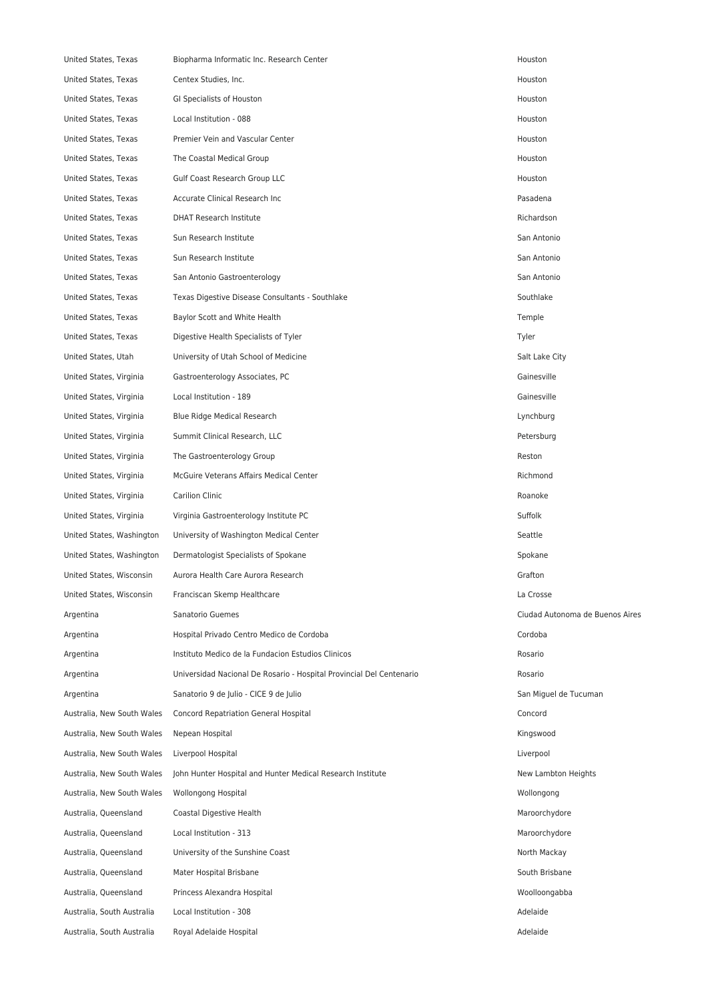| United States, Texas       | Biopharma Informatic Inc. Research Center                            | Houston                         |
|----------------------------|----------------------------------------------------------------------|---------------------------------|
| United States, Texas       | Centex Studies, Inc.                                                 | Houston                         |
| United States, Texas       | GI Specialists of Houston                                            | Houston                         |
| United States, Texas       | Local Institution - 088                                              | Houston                         |
| United States, Texas       | Premier Vein and Vascular Center                                     | Houston                         |
| United States, Texas       | The Coastal Medical Group                                            | Houston                         |
| United States, Texas       | <b>Gulf Coast Research Group LLC</b>                                 | Houston                         |
| United States, Texas       | Accurate Clinical Research Inc                                       | Pasadena                        |
| United States, Texas       | <b>DHAT Research Institute</b>                                       | Richardson                      |
| United States, Texas       | Sun Research Institute                                               | San Antonio                     |
| United States, Texas       | Sun Research Institute                                               | San Antonio                     |
| United States, Texas       | San Antonio Gastroenterology                                         | San Antonio                     |
| United States, Texas       | Texas Digestive Disease Consultants - Southlake                      | Southlake                       |
| United States, Texas       | Baylor Scott and White Health                                        | Temple                          |
| United States, Texas       | Digestive Health Specialists of Tyler                                | Tyler                           |
| United States, Utah        | University of Utah School of Medicine                                | Salt Lake City                  |
| United States, Virginia    | Gastroenterology Associates, PC                                      | Gainesville                     |
| United States, Virginia    | Local Institution - 189                                              | Gainesville                     |
| United States, Virginia    | Blue Ridge Medical Research                                          | Lynchburg                       |
| United States, Virginia    | Summit Clinical Research, LLC                                        | Petersburg                      |
| United States, Virginia    | The Gastroenterology Group                                           | Reston                          |
| United States, Virginia    | McGuire Veterans Affairs Medical Center                              | Richmond                        |
| United States, Virginia    | Carilion Clinic                                                      | Roanoke                         |
| United States, Virginia    | Virginia Gastroenterology Institute PC                               | Suffolk                         |
| United States, Washington  | University of Washington Medical Center                              | Seattle                         |
| United States, Washington  | Dermatologist Specialists of Spokane                                 | Spokane                         |
| United States, Wisconsin   | Aurora Health Care Aurora Research                                   | Grafton                         |
| United States, Wisconsin   | Franciscan Skemp Healthcare                                          | La Crosse                       |
| Argentina                  | Sanatorio Guemes                                                     | Ciudad Autonoma de Buenos Aires |
| Argentina                  | Hospital Privado Centro Medico de Cordoba                            | Cordoba                         |
| Argentina                  | Instituto Medico de la Fundacion Estudios Clinicos                   | Rosario                         |
| Argentina                  | Universidad Nacional De Rosario - Hospital Provincial Del Centenario | Rosario                         |
| Argentina                  | Sanatorio 9 de Julio - CICE 9 de Julio                               | San Miguel de Tucuman           |
| Australia, New South Wales | <b>Concord Repatriation General Hospital</b>                         | Concord                         |
| Australia, New South Wales | Nepean Hospital                                                      | Kingswood                       |
| Australia, New South Wales | Liverpool Hospital                                                   | Liverpool                       |
| Australia, New South Wales | John Hunter Hospital and Hunter Medical Research Institute           | New Lambton Heights             |
| Australia, New South Wales | Wollongong Hospital                                                  | Wollongong                      |
| Australia, Queensland      | Coastal Digestive Health                                             | Maroorchydore                   |
| Australia, Queensland      | Local Institution - 313                                              | Maroorchydore                   |
| Australia, Queensland      | University of the Sunshine Coast                                     | North Mackay                    |
| Australia, Queensland      | Mater Hospital Brisbane                                              | South Brisbane                  |
| Australia, Queensland      | Princess Alexandra Hospital                                          | Woolloongabba                   |
| Australia, South Australia | Local Institution - 308                                              | Adelaide                        |
| Australia, South Australia | Royal Adelaide Hospital                                              | Adelaide                        |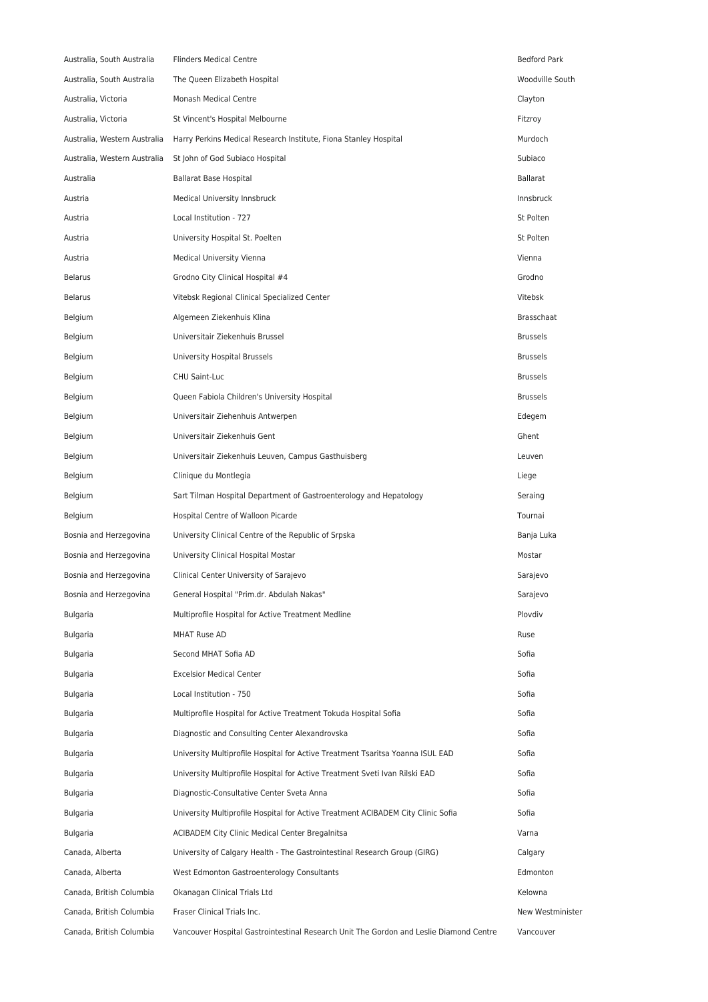| Australia, South Australia   | <b>Flinders Medical Centre</b>                                                         | <b>Bedford Park</b> |
|------------------------------|----------------------------------------------------------------------------------------|---------------------|
| Australia, South Australia   | The Queen Elizabeth Hospital                                                           | Woodville South     |
| Australia, Victoria          | Monash Medical Centre                                                                  | Clayton             |
| Australia, Victoria          | St Vincent's Hospital Melbourne                                                        | Fitzroy             |
| Australia, Western Australia | Harry Perkins Medical Research Institute, Fiona Stanley Hospital                       | Murdoch             |
| Australia, Western Australia | St John of God Subiaco Hospital                                                        | Subiaco             |
| Australia                    | Ballarat Base Hospital                                                                 | <b>Ballarat</b>     |
| Austria                      | Medical University Innsbruck                                                           | Innsbruck           |
| Austria                      | Local Institution - 727                                                                | St Polten           |
| Austria                      | University Hospital St. Poelten                                                        | St Polten           |
| Austria                      | <b>Medical University Vienna</b>                                                       | Vienna              |
| <b>Belarus</b>               | Grodno City Clinical Hospital #4                                                       | Grodno              |
| <b>Belarus</b>               | Vitebsk Regional Clinical Specialized Center                                           | Vitebsk             |
| Belgium                      | Algemeen Ziekenhuis Klina                                                              | <b>Brasschaat</b>   |
| Belgium                      | Universitair Ziekenhuis Brussel                                                        | <b>Brussels</b>     |
| Belgium                      | University Hospital Brussels                                                           | <b>Brussels</b>     |
| Belgium                      | CHU Saint-Luc                                                                          | <b>Brussels</b>     |
| Belgium                      | Queen Fabiola Children's University Hospital                                           | <b>Brussels</b>     |
| Belgium                      | Universitair Ziehenhuis Antwerpen                                                      | Edegem              |
| Belgium                      | Universitair Ziekenhuis Gent                                                           | Ghent               |
| Belgium                      | Universitair Ziekenhuis Leuven, Campus Gasthuisberg                                    | Leuven              |
| Belgium                      | Clinique du Montlegia                                                                  | Liege               |
| Belgium                      | Sart Tilman Hospital Department of Gastroenterology and Hepatology                     | Seraing             |
| Belgium                      | Hospital Centre of Walloon Picarde                                                     | Tournai             |
| Bosnia and Herzegovina       | University Clinical Centre of the Republic of Srpska                                   | Banja Luka          |
| Bosnia and Herzegovina       | University Clinical Hospital Mostar                                                    | Mostar              |
| Bosnia and Herzegovina       | Clinical Center University of Sarajevo                                                 | Sarajevo            |
| Bosnia and Herzegovina       | General Hospital "Prim.dr. Abdulah Nakas"                                              | Sarajevo            |
| Bulgaria                     | Multiprofile Hospital for Active Treatment Medline                                     | Plovdiv             |
| Bulgaria                     | <b>MHAT Ruse AD</b>                                                                    | Ruse                |
| Bulgaria                     | Second MHAT Sofia AD                                                                   | Sofia               |
| <b>Bulgaria</b>              | <b>Excelsior Medical Center</b>                                                        | Sofia               |
| Bulgaria                     | Local Institution - 750                                                                | Sofia               |
| Bulgaria                     | Multiprofile Hospital for Active Treatment Tokuda Hospital Sofia                       | Sofia               |
| Bulgaria                     | Diagnostic and Consulting Center Alexandrovska                                         | Sofia               |
| Bulgaria                     | University Multiprofile Hospital for Active Treatment Tsaritsa Yoanna ISUL EAD         | Sofia               |
| Bulgaria                     | University Multiprofile Hospital for Active Treatment Sveti Ivan Rilski EAD            | Sofia               |
| Bulgaria                     | Diagnostic-Consultative Center Sveta Anna                                              | Sofia               |
| Bulgaria                     | University Multiprofile Hospital for Active Treatment ACIBADEM City Clinic Sofia       | Sofia               |
| Bulgaria                     | ACIBADEM City Clinic Medical Center Bregalnitsa                                        | Varna               |
| Canada, Alberta              | University of Calgary Health - The Gastrointestinal Research Group (GIRG)              | Calgary             |
| Canada, Alberta              | West Edmonton Gastroenterology Consultants                                             | Edmonton            |
| Canada, British Columbia     | Okanagan Clinical Trials Ltd                                                           | Kelowna             |
| Canada, British Columbia     | Fraser Clinical Trials Inc.                                                            | New Westminister    |
| Canada, British Columbia     | Vancouver Hospital Gastrointestinal Research Unit The Gordon and Leslie Diamond Centre | Vancouver           |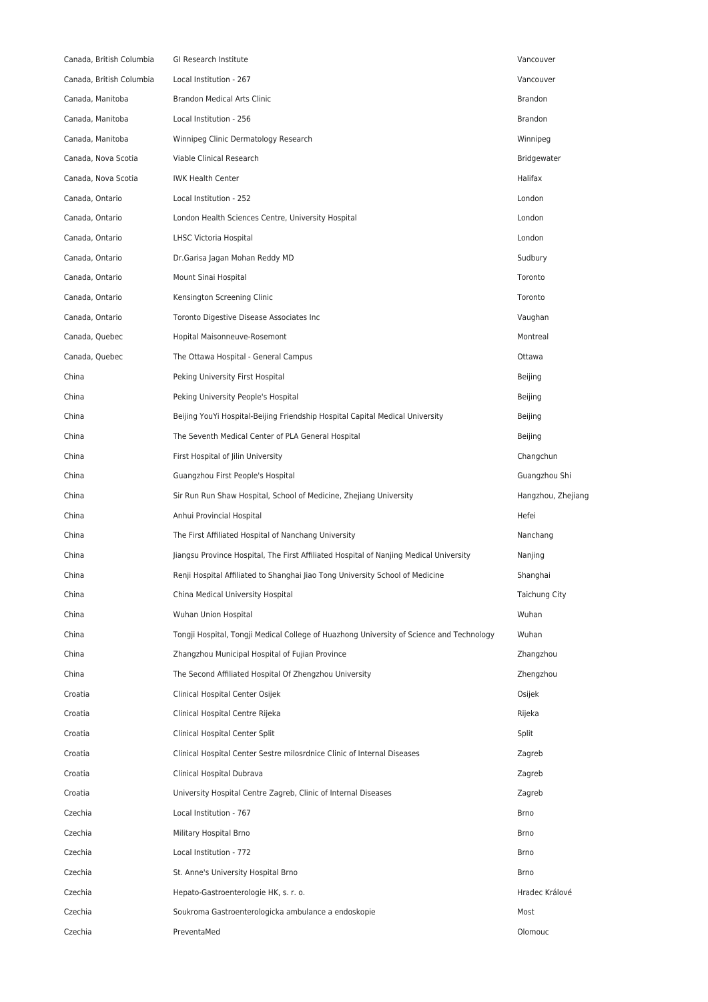| Canada, British Columbia | GI Research Institute                                                                    | Vancouver          |
|--------------------------|------------------------------------------------------------------------------------------|--------------------|
| Canada, British Columbia | Local Institution - 267                                                                  | Vancouver          |
| Canada, Manitoba         | <b>Brandon Medical Arts Clinic</b>                                                       | Brandon            |
| Canada, Manitoba         | Local Institution - 256                                                                  | <b>Brandon</b>     |
| Canada, Manitoba         | Winnipeg Clinic Dermatology Research                                                     | Winnipeg           |
| Canada, Nova Scotia      | Viable Clinical Research                                                                 | Bridgewater        |
| Canada, Nova Scotia      | <b>IWK Health Center</b>                                                                 | Halifax            |
| Canada, Ontario          | Local Institution - 252                                                                  | London             |
| Canada, Ontario          | London Health Sciences Centre, University Hospital                                       | London             |
| Canada, Ontario          | LHSC Victoria Hospital                                                                   | London             |
| Canada, Ontario          | Dr.Garisa Jagan Mohan Reddy MD                                                           | Sudbury            |
| Canada, Ontario          | Mount Sinai Hospital                                                                     | Toronto            |
| Canada, Ontario          | Kensington Screening Clinic                                                              | Toronto            |
| Canada, Ontario          | Toronto Digestive Disease Associates Inc                                                 | Vaughan            |
| Canada, Quebec           | Hopital Maisonneuve-Rosemont                                                             | Montreal           |
| Canada, Quebec           | The Ottawa Hospital - General Campus                                                     | Ottawa             |
| China                    | Peking University First Hospital                                                         | Beijing            |
| China                    | Peking University People's Hospital                                                      | Beijing            |
| China                    | Beijing YouYi Hospital-Beijing Friendship Hospital Capital Medical University            | Beijing            |
| China                    | The Seventh Medical Center of PLA General Hospital                                       | Beijing            |
| China                    | First Hospital of Jilin University                                                       | Changchun          |
| China                    | Guangzhou First People's Hospital                                                        | Guangzhou Shi      |
| China                    | Sir Run Run Shaw Hospital, School of Medicine, Zhejiang University                       | Hangzhou, Zhejiang |
| China                    | Anhui Provincial Hospital                                                                | Hefei              |
| China                    | The First Affiliated Hospital of Nanchang University                                     | Nanchang           |
| China                    | Jiangsu Province Hospital, The First Affiliated Hospital of Nanjing Medical University   | Nanjing            |
| China                    | Renji Hospital Affiliated to Shanghai Jiao Tong University School of Medicine            | Shanghai           |
| China                    | China Medical University Hospital                                                        | Taichung City      |
| China                    | Wuhan Union Hospital                                                                     | Wuhan              |
| China                    | Tongji Hospital, Tongji Medical College of Huazhong University of Science and Technology | Wuhan              |
| China                    | Zhangzhou Municipal Hospital of Fujian Province                                          | Zhangzhou          |
| China                    | The Second Affiliated Hospital Of Zhengzhou University                                   | Zhengzhou          |
| Croatia                  | Clinical Hospital Center Osijek                                                          | Osijek             |
| Croatia                  | Clinical Hospital Centre Rijeka                                                          | Rijeka             |
| Croatia                  | Clinical Hospital Center Split                                                           | Split              |
| Croatia                  | Clinical Hospital Center Sestre milosrdnice Clinic of Internal Diseases                  | Zagreb             |
| Croatia                  | Clinical Hospital Dubrava                                                                | Zagreb             |
| Croatia                  | University Hospital Centre Zagreb, Clinic of Internal Diseases                           | Zagreb             |
| Czechia                  | Local Institution - 767                                                                  | <b>Brno</b>        |
| Czechia                  | Military Hospital Brno                                                                   | Brno               |
| Czechia                  | Local Institution - 772                                                                  | Brno               |
| Czechia                  | St. Anne's University Hospital Brno                                                      | <b>Brno</b>        |
| Czechia                  | Hepato-Gastroenterologie HK, s. r. o.                                                    | Hradec Králové     |
| Czechia                  | Soukroma Gastroenterologicka ambulance a endoskopie                                      | Most               |
|                          |                                                                                          |                    |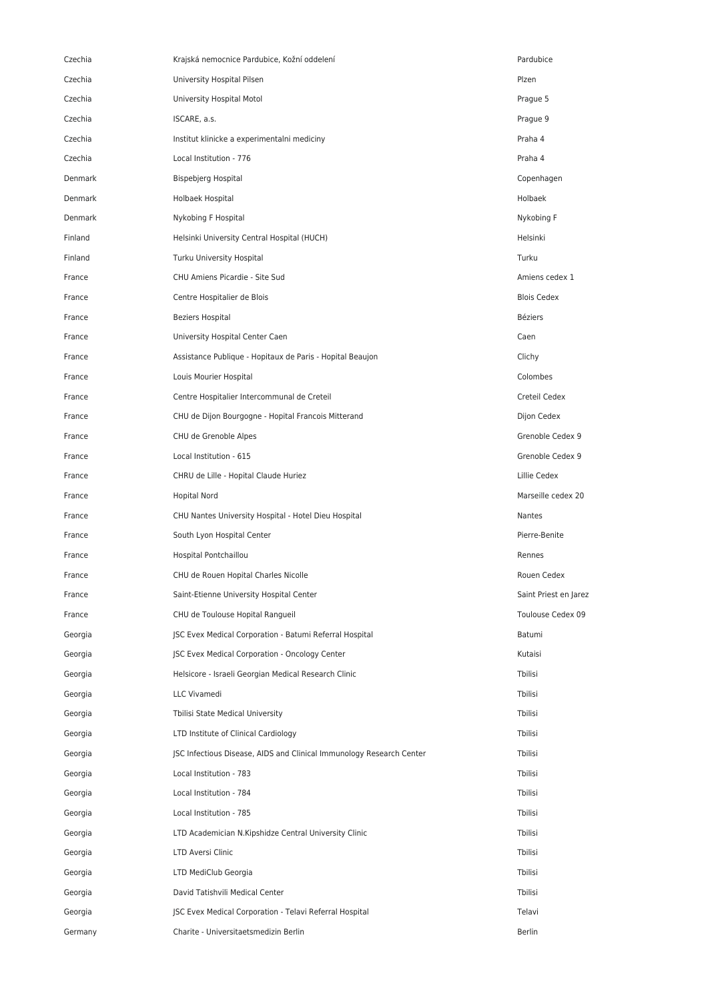| Czechia | Krajská nemocnice Pardubice, Kožní oddelení                          | Pardubice             |
|---------|----------------------------------------------------------------------|-----------------------|
| Czechia | University Hospital Pilsen                                           | Plzen                 |
| Czechia | University Hospital Motol                                            | Prague 5              |
| Czechia | ISCARE, a.s.                                                         | Prague 9              |
| Czechia | Institut klinicke a experimentalni mediciny                          | Praha 4               |
| Czechia | Local Institution - 776                                              | Praha 4               |
| Denmark | Bispebjerg Hospital                                                  | Copenhagen            |
| Denmark | Holbaek Hospital                                                     | Holbaek               |
| Denmark | Nykobing F Hospital                                                  | Nykobing F            |
| Finland | Helsinki University Central Hospital (HUCH)                          | Helsinki              |
| Finland | Turku University Hospital                                            | Turku                 |
| France  | CHU Amiens Picardie - Site Sud                                       | Amiens cedex 1        |
| France  | Centre Hospitalier de Blois                                          | <b>Blois Cedex</b>    |
| France  | <b>Beziers Hospital</b>                                              | <b>Béziers</b>        |
| France  | University Hospital Center Caen                                      | Caen                  |
| France  | Assistance Publique - Hopitaux de Paris - Hopital Beaujon            | Clichy                |
| France  | Louis Mourier Hospital                                               | Colombes              |
| France  | Centre Hospitalier Intercommunal de Creteil                          | Creteil Cedex         |
| France  | CHU de Dijon Bourgogne - Hopital Francois Mitterand                  | Dijon Cedex           |
| France  | CHU de Grenoble Alpes                                                | Grenoble Cedex 9      |
| France  | Local Institution - 615                                              | Grenoble Cedex 9      |
| France  | CHRU de Lille - Hopital Claude Huriez                                | Lillie Cedex          |
| France  | <b>Hopital Nord</b>                                                  | Marseille cedex 20    |
| France  | CHU Nantes University Hospital - Hotel Dieu Hospital                 | Nantes                |
| France  | South Lyon Hospital Center                                           | Pierre-Benite         |
| France  | Hospital Pontchaillou                                                | Rennes                |
| France  | CHU de Rouen Hopital Charles Nicolle                                 | Rouen Cedex           |
| France  | Saint-Etienne University Hospital Center                             | Saint Priest en Jarez |
| France  | CHU de Toulouse Hopital Rangueil                                     | Toulouse Cedex 09     |
| Georgia | JSC Evex Medical Corporation - Batumi Referral Hospital              | Batumi                |
| Georgia | JSC Evex Medical Corporation - Oncology Center                       | Kutaisi               |
| Georgia | Helsicore - Israeli Georgian Medical Research Clinic                 | Tbilisi               |
| Georgia | LLC Vivamedi                                                         | Tbilisi               |
| Georgia | Tbilisi State Medical University                                     | Tbilisi               |
| Georgia | LTD Institute of Clinical Cardiology                                 | Tbilisi               |
| Georgia | JSC Infectious Disease, AIDS and Clinical Immunology Research Center | Tbilisi               |
| Georgia | Local Institution - 783                                              | Tbilisi               |
| Georgia | Local Institution - 784                                              | Tbilisi               |
| Georgia | Local Institution - 785                                              | Tbilisi               |
| Georgia | LTD Academician N.Kipshidze Central University Clinic                | Tbilisi               |
| Georgia | LTD Aversi Clinic                                                    | Tbilisi               |
| Georgia | LTD MediClub Georgia                                                 | Tbilisi               |
| Georgia | David Tatishvili Medical Center                                      | Tbilisi               |
| Georgia | JSC Evex Medical Corporation - Telavi Referral Hospital              | Telavi                |
| Germany | Charite - Universitaetsmedizin Berlin                                | <b>Berlin</b>         |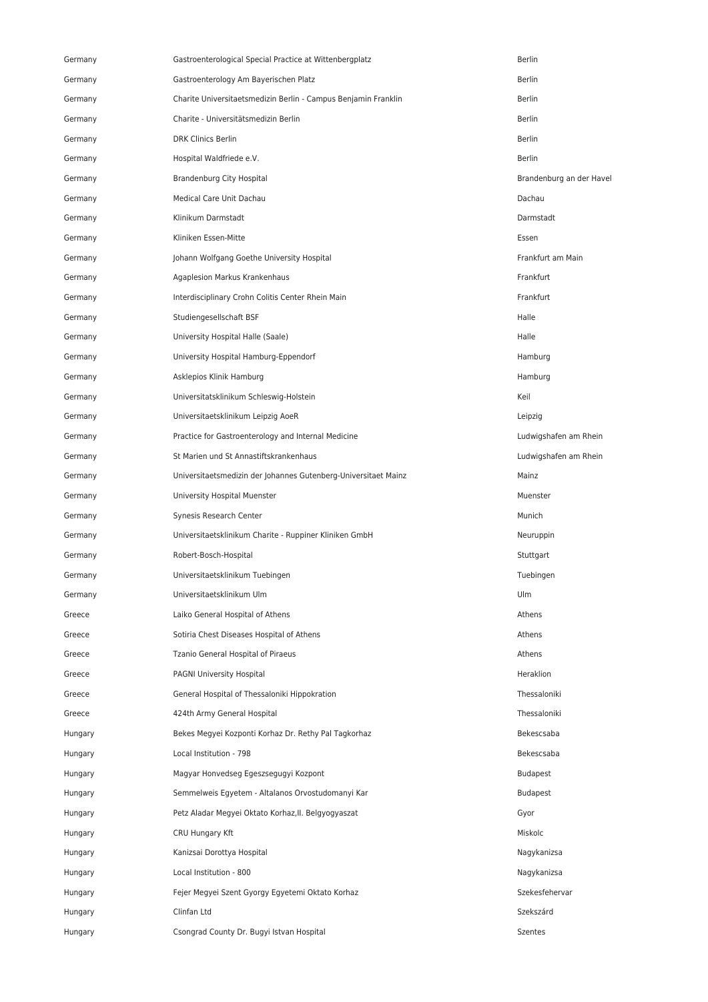| Germany | Gastroenterological Special Practice at Wittenbergplatz        | Berlin                   |
|---------|----------------------------------------------------------------|--------------------------|
| Germany | Gastroenterology Am Bayerischen Platz                          | <b>Berlin</b>            |
| Germany | Charite Universitaetsmedizin Berlin - Campus Benjamin Franklin | <b>Berlin</b>            |
| Germany | Charite - Universitätsmedizin Berlin                           | <b>Berlin</b>            |
| Germany | <b>DRK Clinics Berlin</b>                                      | <b>Berlin</b>            |
| Germany | Hospital Waldfriede e.V.                                       | <b>Berlin</b>            |
| Germany | Brandenburg City Hospital                                      | Brandenburg an der Havel |
| Germany | Medical Care Unit Dachau                                       | Dachau                   |
| Germany | Klinikum Darmstadt                                             | Darmstadt                |
| Germany | Kliniken Essen-Mitte                                           | Essen                    |
| Germany | Johann Wolfgang Goethe University Hospital                     | Frankfurt am Main        |
| Germany | Agaplesion Markus Krankenhaus                                  | Frankfurt                |
| Germany | Interdisciplinary Crohn Colitis Center Rhein Main              | Frankfurt                |
| Germany | Studiengesellschaft BSF                                        | Halle                    |
| Germany | University Hospital Halle (Saale)                              | Halle                    |
| Germany | University Hospital Hamburg-Eppendorf                          | Hamburg                  |
| Germany | Asklepios Klinik Hamburg                                       | Hamburg                  |
| Germany | Universitatsklinikum Schleswig-Holstein                        | Keil                     |
| Germany | Universitaetsklinikum Leipzig AoeR                             | Leipzig                  |
| Germany | Practice for Gastroenterology and Internal Medicine            | Ludwigshafen am Rhein    |
| Germany | St Marien und St Annastiftskrankenhaus                         | Ludwigshafen am Rhein    |
| Germany | Universitaetsmedizin der Johannes Gutenberg-Universitaet Mainz | Mainz                    |
| Germany | University Hospital Muenster                                   | Muenster                 |
| Germany | Synesis Research Center                                        | Munich                   |
| Germany | Universitaetsklinikum Charite - Ruppiner Kliniken GmbH         | Neuruppin                |
| Germany | Robert-Bosch-Hospital                                          | Stuttgart                |
| Germany | Universitaetsklinikum Tuebingen                                | Tuebingen                |
| Germany | Universitaetsklinikum Ulm                                      | Ulm                      |
| Greece  | Laiko General Hospital of Athens                               | Athens                   |
| Greece  | Sotiria Chest Diseases Hospital of Athens                      | Athens                   |
| Greece  | Tzanio General Hospital of Piraeus                             | Athens                   |
| Greece  | <b>PAGNI University Hospital</b>                               | Heraklion                |
| Greece  | General Hospital of Thessaloniki Hippokration                  | Thessaloniki             |
| Greece  | 424th Army General Hospital                                    | Thessaloniki             |
| Hungary | Bekes Megyei Kozponti Korhaz Dr. Rethy Pal Tagkorhaz           | Bekescsaba               |
| Hungary | Local Institution - 798                                        | Bekescsaba               |
| Hungary | Magyar Honvedseg Egeszsegugyi Kozpont                          | <b>Budapest</b>          |
| Hungary | Semmelweis Egyetem - Altalanos Orvostudomanyi Kar              | <b>Budapest</b>          |
| Hungary | Petz Aladar Megyei Oktato Korhaz, II. Belgyogyaszat            | Gyor                     |
| Hungary | CRU Hungary Kft                                                | Miskolc                  |
| Hungary | Kanizsai Dorottya Hospital                                     | Nagykanizsa              |
| Hungary | Local Institution - 800                                        | Nagykanizsa              |
| Hungary | Fejer Megyei Szent Gyorgy Egyetemi Oktato Korhaz               | Szekesfehervar           |
| Hungary | Clinfan Ltd                                                    | Szekszárd                |
| Hungary | Csongrad County Dr. Bugyi Istvan Hospital                      | Szentes                  |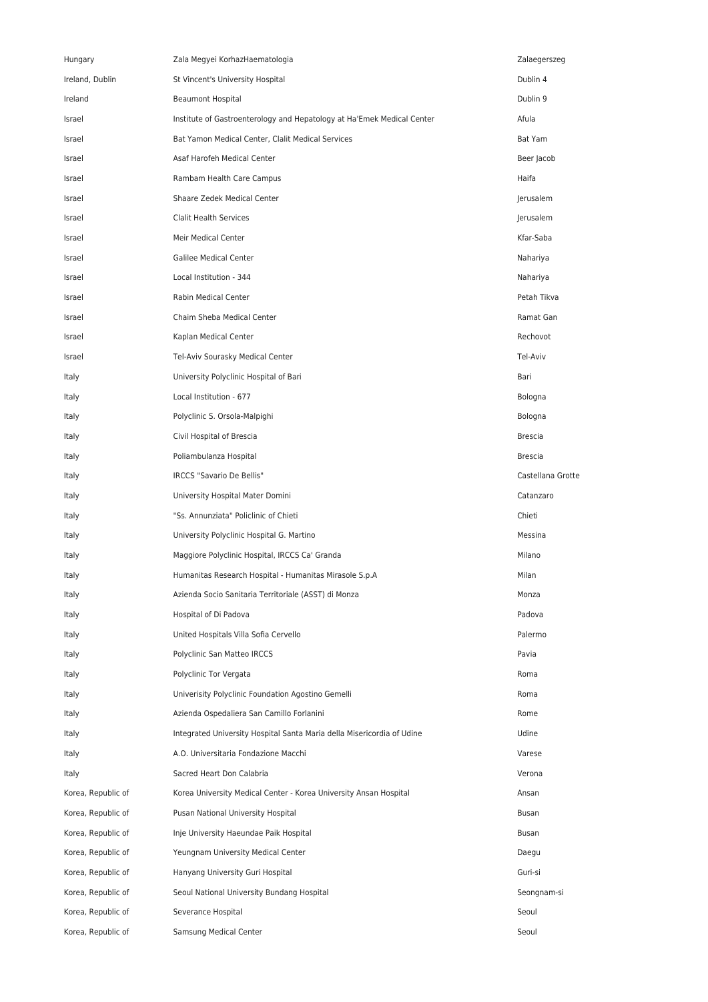| Hungary            | Zala Megyei KorhazHaematologia                                         | Zalaegerszeg      |
|--------------------|------------------------------------------------------------------------|-------------------|
| Ireland, Dublin    | St Vincent's University Hospital                                       | Dublin 4          |
| Ireland            | <b>Beaumont Hospital</b>                                               | Dublin 9          |
| Israel             | Institute of Gastroenterology and Hepatology at Ha'Emek Medical Center | Afula             |
| Israel             | Bat Yamon Medical Center, Clalit Medical Services                      | Bat Yam           |
| Israel             | Asaf Harofeh Medical Center                                            | Beer Jacob        |
| Israel             | Rambam Health Care Campus                                              | Haifa             |
| Israel             | Shaare Zedek Medical Center                                            | Jerusalem         |
| Israel             | Clalit Health Services                                                 | Jerusalem         |
| Israel             | Meir Medical Center                                                    | Kfar-Saba         |
| Israel             | <b>Galilee Medical Center</b>                                          | Nahariya          |
| Israel             | Local Institution - 344                                                | Nahariya          |
| Israel             | Rabin Medical Center                                                   | Petah Tikva       |
| Israel             | Chaim Sheba Medical Center                                             | Ramat Gan         |
| Israel             | Kaplan Medical Center                                                  | Rechovot          |
| Israel             | Tel-Aviv Sourasky Medical Center                                       | Tel-Aviv          |
| Italy              | University Polyclinic Hospital of Bari                                 | Bari              |
| Italy              | Local Institution - 677                                                | Bologna           |
| Italy              | Polyclinic S. Orsola-Malpighi                                          | Bologna           |
| Italy              | Civil Hospital of Brescia                                              | <b>Brescia</b>    |
| Italy              | Poliambulanza Hospital                                                 | <b>Brescia</b>    |
| Italy              | IRCCS "Savario De Bellis"                                              | Castellana Grotte |
| Italy              | University Hospital Mater Domini                                       | Catanzaro         |
| Italy              | "Ss. Annunziata" Policlinic of Chieti                                  | Chieti            |
| Italy              | University Polyclinic Hospital G. Martino                              | Messina           |
| Italy              | Maggiore Polyclinic Hospital, IRCCS Ca' Granda                         | Milano            |
| Italy              | Humanitas Research Hospital - Humanitas Mirasole S.p.A                 | Milan             |
| Italy              | Azienda Socio Sanitaria Territoriale (ASST) di Monza                   | Monza             |
| Italy              | Hospital of Di Padova                                                  | Padova            |
| Italy              | United Hospitals Villa Sofia Cervello                                  | Palermo           |
| Italy              | Polyclinic San Matteo IRCCS                                            | Pavia             |
| Italy              | Polyclinic Tor Vergata                                                 | Roma              |
| Italy              | Univerisity Polyclinic Foundation Agostino Gemelli                     | Roma              |
| Italy              | Azienda Ospedaliera San Camillo Forlanini                              | Rome              |
| Italy              | Integrated University Hospital Santa Maria della Misericordia of Udine | Udine             |
| Italy              | A.O. Universitaria Fondazione Macchi                                   | Varese            |
| Italy              | Sacred Heart Don Calabria                                              | Verona            |
| Korea, Republic of | Korea University Medical Center - Korea University Ansan Hospital      | Ansan             |
| Korea, Republic of | Pusan National University Hospital                                     | Busan             |
| Korea, Republic of | Inje University Haeundae Paik Hospital                                 | Busan             |
| Korea, Republic of | Yeungnam University Medical Center                                     | Daegu             |
| Korea, Republic of | Hanyang University Guri Hospital                                       | Guri-si           |
| Korea, Republic of | Seoul National University Bundang Hospital                             | Seongnam-si       |
| Korea, Republic of | Severance Hospital                                                     | Seoul             |
| Korea, Republic of | Samsung Medical Center                                                 | Seoul             |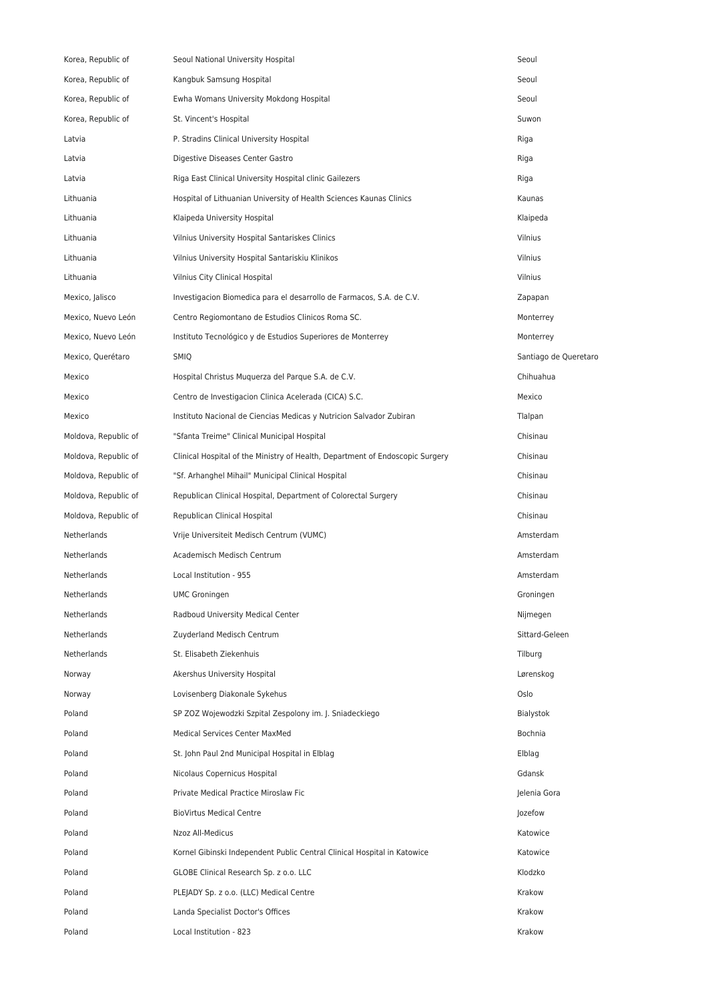| Korea, Republic of   | Seoul National University Hospital                                            | Seoul                 |
|----------------------|-------------------------------------------------------------------------------|-----------------------|
| Korea, Republic of   | Kangbuk Samsung Hospital                                                      | Seoul                 |
| Korea, Republic of   | Ewha Womans University Mokdong Hospital                                       | Seoul                 |
| Korea, Republic of   | St. Vincent's Hospital                                                        | Suwon                 |
| Latvia               | P. Stradins Clinical University Hospital                                      | Riga                  |
| Latvia               | Digestive Diseases Center Gastro                                              | Riga                  |
| Latvia               | Riga East Clinical University Hospital clinic Gailezers                       | Riga                  |
| Lithuania            | Hospital of Lithuanian University of Health Sciences Kaunas Clinics           | Kaunas                |
| Lithuania            | Klaipeda University Hospital                                                  | Klaipeda              |
| Lithuania            | Vilnius University Hospital Santariskes Clinics                               | Vilnius               |
| Lithuania            | Vilnius University Hospital Santariskiu Klinikos                              | Vilnius               |
| Lithuania            | Vilnius City Clinical Hospital                                                | Vilnius               |
| Mexico, Jalisco      | Investigacion Biomedica para el desarrollo de Farmacos, S.A. de C.V.          | Zapapan               |
| Mexico, Nuevo León   | Centro Regiomontano de Estudios Clinicos Roma SC.                             | Monterrey             |
| Mexico, Nuevo León   | Instituto Tecnológico y de Estudios Superiores de Monterrey                   | Monterrey             |
| Mexico, Querétaro    | SMIQ                                                                          | Santiago de Queretaro |
| Mexico               | Hospital Christus Muquerza del Parque S.A. de C.V.                            | Chihuahua             |
| Mexico               | Centro de Investigacion Clinica Acelerada (CICA) S.C.                         | Mexico                |
| Mexico               | Instituto Nacional de Ciencias Medicas y Nutricion Salvador Zubiran           | Tlalpan               |
| Moldova, Republic of | "Sfanta Treime" Clinical Municipal Hospital                                   | Chisinau              |
| Moldova, Republic of | Clinical Hospital of the Ministry of Health, Department of Endoscopic Surgery | Chisinau              |
| Moldova, Republic of | "Sf. Arhanghel Mihail" Municipal Clinical Hospital                            | Chisinau              |
| Moldova, Republic of | Republican Clinical Hospital, Department of Colorectal Surgery                | Chisinau              |
| Moldova, Republic of | Republican Clinical Hospital                                                  | Chisinau              |
| Netherlands          | Vrije Universiteit Medisch Centrum (VUMC)                                     | Amsterdam             |
| Netherlands          | Academisch Medisch Centrum                                                    | Amsterdam             |
| Netherlands          | Local Institution - 955                                                       | Amsterdam             |
| Netherlands          | <b>UMC Groningen</b>                                                          | Groningen             |
| Netherlands          | Radboud University Medical Center                                             | Nijmegen              |
| Netherlands          | Zuyderland Medisch Centrum                                                    | Sittard-Geleen        |
| Netherlands          | St. Elisabeth Ziekenhuis                                                      | Tilburg               |
| Norway               | Akershus University Hospital                                                  | Lørenskog             |
| Norway               | Lovisenberg Diakonale Sykehus                                                 | Oslo                  |
| Poland               | SP ZOZ Wojewodzki Szpital Zespolony im. J. Sniadeckiego                       | Bialystok             |
| Poland               | Medical Services Center MaxMed                                                | Bochnia               |
| Poland               | St. John Paul 2nd Municipal Hospital in Elblag                                | Elblag                |
| Poland               | Nicolaus Copernicus Hospital                                                  | Gdansk                |
| Poland               | Private Medical Practice Miroslaw Fic                                         | Jelenia Gora          |
| Poland               | <b>BioVirtus Medical Centre</b>                                               | Jozefow               |
| Poland               | Nzoz All-Medicus                                                              | Katowice              |
| Poland               | Kornel Gibinski Independent Public Central Clinical Hospital in Katowice      | Katowice              |
| Poland               | GLOBE Clinical Research Sp. z o.o. LLC                                        | Klodzko               |
| Poland               | PLEJADY Sp. z o.o. (LLC) Medical Centre                                       | Krakow                |
| Poland               | Landa Specialist Doctor's Offices                                             | Krakow                |
| Poland               | Local Institution - 823                                                       | Krakow                |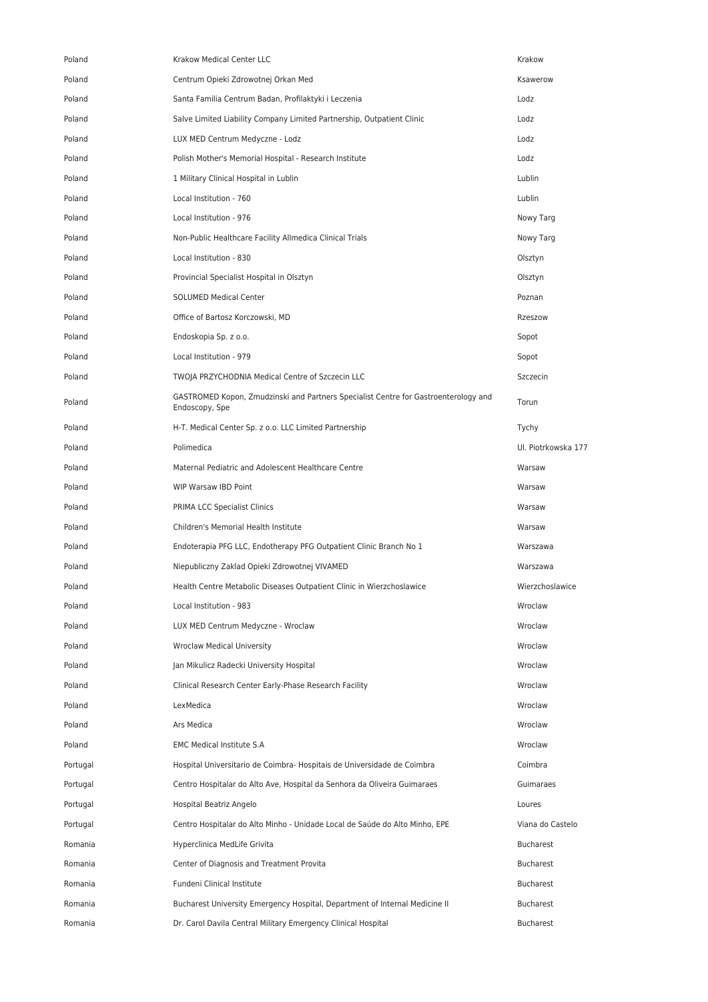| Poland   | <b>Krakow Medical Center LLC</b>                                                                      | Krakow              |
|----------|-------------------------------------------------------------------------------------------------------|---------------------|
| Poland   | Centrum Opieki Zdrowotnej Orkan Med                                                                   | Ksawerow            |
| Poland   | Santa Familia Centrum Badan, Profilaktyki i Leczenia                                                  | Lodz                |
| Poland   | Salve Limited Liability Company Limited Partnership, Outpatient Clinic                                | Lodz                |
| Poland   | LUX MED Centrum Medyczne - Lodz                                                                       | Lodz                |
| Poland   | Polish Mother's Memorial Hospital - Research Institute                                                | Lodz                |
| Poland   | 1 Military Clinical Hospital in Lublin                                                                | Lublin              |
| Poland   | Local Institution - 760                                                                               | Lublin              |
| Poland   | Local Institution - 976                                                                               | Nowy Targ           |
| Poland   | Non-Public Healthcare Facility Allmedica Clinical Trials                                              | Nowy Targ           |
| Poland   | Local Institution - 830                                                                               | Olsztyn             |
| Poland   | Provincial Specialist Hospital in Olsztyn                                                             | Olsztyn             |
| Poland   | <b>SOLUMED Medical Center</b>                                                                         | Poznan              |
| Poland   | Office of Bartosz Korczowski, MD                                                                      | Rzeszow             |
| Poland   | Endoskopia Sp. z o.o.                                                                                 | Sopot               |
| Poland   | Local Institution - 979                                                                               | Sopot               |
| Poland   | TWOJA PRZYCHODNIA Medical Centre of Szczecin LLC                                                      | Szczecin            |
| Poland   | GASTROMED Kopon, Zmudzinski and Partners Specialist Centre for Gastroenterology and<br>Endoscopy, Spe | Torun               |
| Poland   | H-T. Medical Center Sp. z o.o. LLC Limited Partnership                                                | Tychy               |
| Poland   | Polimedica                                                                                            | Ul. Piotrkowska 177 |
| Poland   | Maternal Pediatric and Adolescent Healthcare Centre                                                   | Warsaw              |
| Poland   | WIP Warsaw IBD Point                                                                                  | Warsaw              |
| Poland   | PRIMA LCC Specialist Clinics                                                                          | Warsaw              |
| Poland   | Children's Memorial Health Institute                                                                  | Warsaw              |
| Poland   | Endoterapia PFG LLC, Endotherapy PFG Outpatient Clinic Branch No 1                                    | Warszawa            |
| Poland   | Niepubliczny Zaklad Opieki Zdrowotnej VIVAMED                                                         | Warszawa            |
| Poland   | Health Centre Metabolic Diseases Outpatient Clinic in Wierzchoslawice                                 | Wierzchoslawice     |
| Poland   | Local Institution - 983                                                                               | Wroclaw             |
| Poland   | LUX MED Centrum Medyczne - Wroclaw                                                                    | Wroclaw             |
| Poland   | <b>Wroclaw Medical University</b>                                                                     | Wroclaw             |
| Poland   | Jan Mikulicz Radecki University Hospital                                                              | Wroclaw             |
| Poland   | Clinical Research Center Early-Phase Research Facility                                                | Wroclaw             |
| Poland   | LexMedica                                                                                             | Wroclaw             |
| Poland   | Ars Medica                                                                                            | Wroclaw             |
| Poland   | <b>EMC Medical Institute S.A</b>                                                                      | Wroclaw             |
| Portugal | Hospital Universitario de Coimbra- Hospitais de Universidade de Coimbra                               | Coimbra             |
| Portugal | Centro Hospitalar do Alto Ave, Hospital da Senhora da Oliveira Guimaraes                              | Guimaraes           |
| Portugal | Hospital Beatriz Angelo                                                                               | Loures              |
| Portugal | Centro Hospitalar do Alto Minho - Unidade Local de Saúde do Alto Minho, EPE                           | Viana do Castelo    |
| Romania  | Hyperclinica MedLife Grivita                                                                          | Bucharest           |
| Romania  | Center of Diagnosis and Treatment Provita                                                             | <b>Bucharest</b>    |
| Romania  | Fundeni Clinical Institute                                                                            | Bucharest           |
| Romania  | Bucharest University Emergency Hospital, Department of Internal Medicine II                           | Bucharest           |
| Romania  | Dr. Carol Davila Central Military Emergency Clinical Hospital                                         | Bucharest           |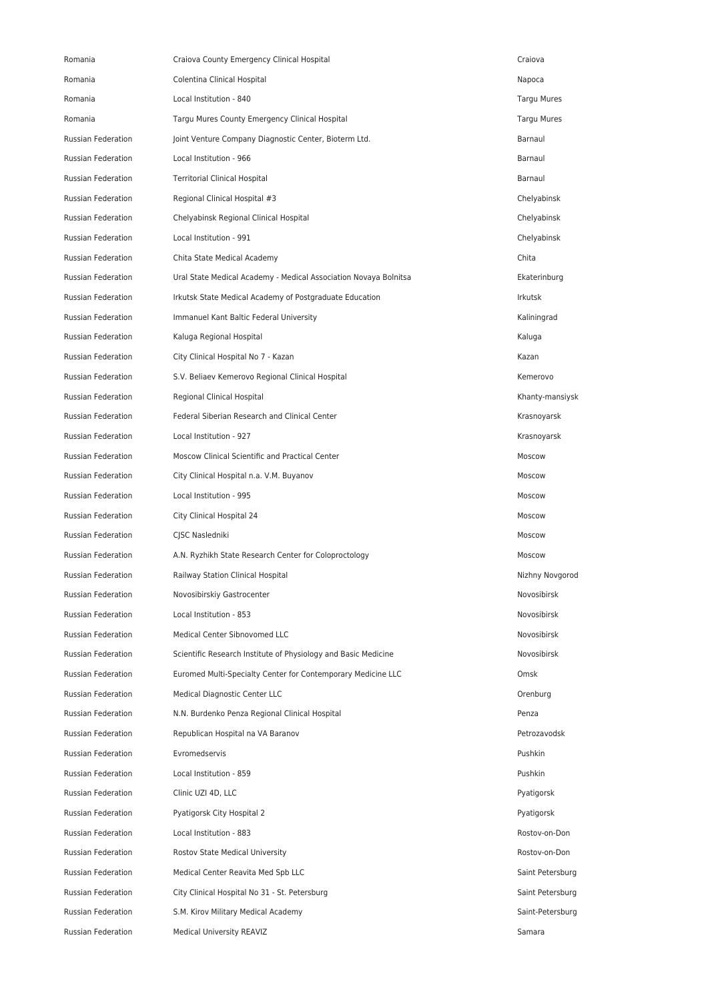| Romania                   | Craiova County Emergency Clinical Hospital                       | Craiova          |
|---------------------------|------------------------------------------------------------------|------------------|
| Romania                   | Colentina Clinical Hospital                                      | Napoca           |
| Romania                   | Local Institution - 840                                          | Targu Mures      |
| Romania                   | Targu Mures County Emergency Clinical Hospital                   | Targu Mures      |
| <b>Russian Federation</b> | Joint Venture Company Diagnostic Center, Bioterm Ltd.            | Barnaul          |
| Russian Federation        | Local Institution - 966                                          | Barnaul          |
| Russian Federation        | <b>Territorial Clinical Hospital</b>                             | Barnaul          |
| Russian Federation        | Regional Clinical Hospital #3                                    | Chelyabinsk      |
| <b>Russian Federation</b> | Chelyabinsk Regional Clinical Hospital                           | Chelyabinsk      |
| Russian Federation        | Local Institution - 991                                          | Chelyabinsk      |
| Russian Federation        | Chita State Medical Academy                                      | Chita            |
| Russian Federation        | Ural State Medical Academy - Medical Association Novaya Bolnitsa | Ekaterinburg     |
| Russian Federation        | Irkutsk State Medical Academy of Postgraduate Education          | <b>Irkutsk</b>   |
| Russian Federation        | Immanuel Kant Baltic Federal University                          | Kaliningrad      |
| Russian Federation        | Kaluga Regional Hospital                                         | Kaluga           |
| Russian Federation        | City Clinical Hospital No 7 - Kazan                              | Kazan            |
| Russian Federation        | S.V. Beliaev Kemerovo Regional Clinical Hospital                 | Kemerovo         |
| Russian Federation        | Regional Clinical Hospital                                       | Khanty-mansiysk  |
| Russian Federation        | Federal Siberian Research and Clinical Center                    | Krasnoyarsk      |
| Russian Federation        | Local Institution - 927                                          | Krasnoyarsk      |
| Russian Federation        | Moscow Clinical Scientific and Practical Center                  | Moscow           |
| <b>Russian Federation</b> | City Clinical Hospital n.a. V.M. Buyanov                         | Moscow           |
| Russian Federation        | Local Institution - 995                                          | Moscow           |
| <b>Russian Federation</b> | City Clinical Hospital 24                                        | Moscow           |
| Russian Federation        | CJSC Nasledniki                                                  | Moscow           |
| Russian Federation        | A.N. Ryzhikh State Research Center for Coloproctology            | Moscow           |
| <b>Russian Federation</b> | Railway Station Clinical Hospital                                | Nizhny Novgorod  |
| Russian Federation        | Novosibirskiy Gastrocenter                                       | Novosibirsk      |
| <b>Russian Federation</b> | Local Institution - 853                                          | Novosibirsk      |
| Russian Federation        | Medical Center Sibnovomed LLC                                    | Novosibirsk      |
| <b>Russian Federation</b> | Scientific Research Institute of Physiology and Basic Medicine   | Novosibirsk      |
| Russian Federation        | Euromed Multi-Specialty Center for Contemporary Medicine LLC     | Omsk             |
| Russian Federation        | Medical Diagnostic Center LLC                                    | Orenburg         |
| Russian Federation        | N.N. Burdenko Penza Regional Clinical Hospital                   | Penza            |
| Russian Federation        | Republican Hospital na VA Baranov                                | Petrozavodsk     |
| Russian Federation        | Evromedservis                                                    | Pushkin          |
| Russian Federation        | Local Institution - 859                                          | Pushkin          |
| Russian Federation        | Clinic UZI 4D, LLC                                               | Pyatigorsk       |
| Russian Federation        | Pyatigorsk City Hospital 2                                       | Pyatigorsk       |
| Russian Federation        | Local Institution - 883                                          | Rostov-on-Don    |
| Russian Federation        | Rostov State Medical University                                  | Rostov-on-Don    |
| Russian Federation        | Medical Center Reavita Med Spb LLC                               | Saint Petersburg |
| Russian Federation        | City Clinical Hospital No 31 - St. Petersburg                    | Saint Petersburg |
| Russian Federation        | S.M. Kirov Military Medical Academy                              | Saint-Petersburg |
| Russian Federation        | <b>Medical University REAVIZ</b>                                 | Samara           |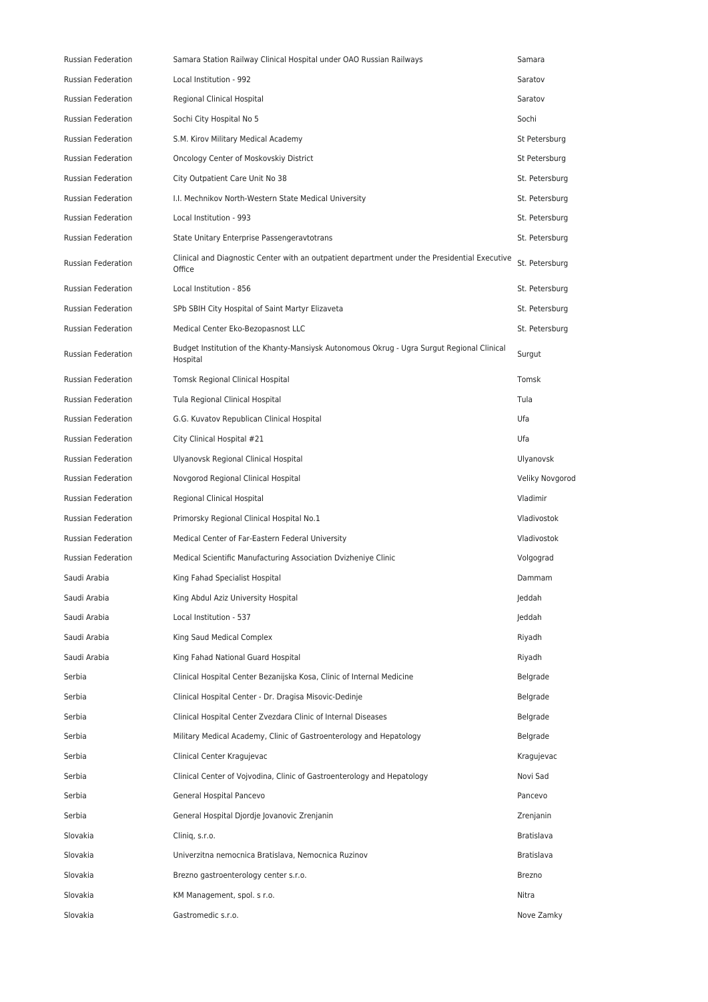| <b>Russian Federation</b> | Samara Station Railway Clinical Hospital under OAO Russian Railways                                     | Samara          |
|---------------------------|---------------------------------------------------------------------------------------------------------|-----------------|
| Russian Federation        | Local Institution - 992                                                                                 | Saratov         |
| Russian Federation        | Regional Clinical Hospital                                                                              | Saratov         |
| <b>Russian Federation</b> | Sochi City Hospital No 5                                                                                | Sochi           |
| Russian Federation        | S.M. Kirov Military Medical Academy                                                                     | St Petersburg   |
| <b>Russian Federation</b> | Oncology Center of Moskovskiy District                                                                  | St Petersburg   |
| Russian Federation        | City Outpatient Care Unit No 38                                                                         | St. Petersburg  |
| <b>Russian Federation</b> | I.I. Mechnikov North-Western State Medical University                                                   | St. Petersburg  |
| <b>Russian Federation</b> | Local Institution - 993                                                                                 | St. Petersburg  |
| Russian Federation        | State Unitary Enterprise Passengeravtotrans                                                             | St. Petersburg  |
| Russian Federation        | Clinical and Diagnostic Center with an outpatient department under the Presidential Executive<br>Office | St. Petersburg  |
| Russian Federation        | Local Institution - 856                                                                                 | St. Petersburg  |
| <b>Russian Federation</b> | SPb SBIH City Hospital of Saint Martyr Elizaveta                                                        | St. Petersburg  |
| Russian Federation        | Medical Center Eko-Bezopasnost LLC                                                                      | St. Petersburg  |
| Russian Federation        | Budget Institution of the Khanty-Mansiysk Autonomous Okrug - Ugra Surgut Regional Clinical<br>Hospital  | Surgut          |
| Russian Federation        | Tomsk Regional Clinical Hospital                                                                        | Tomsk           |
| Russian Federation        | Tula Regional Clinical Hospital                                                                         | Tula            |
| Russian Federation        | G.G. Kuvatov Republican Clinical Hospital                                                               | Ufa             |
| Russian Federation        | City Clinical Hospital #21                                                                              | Ufa             |
| <b>Russian Federation</b> | Ulyanovsk Regional Clinical Hospital                                                                    | Ulyanovsk       |
| Russian Federation        | Novgorod Regional Clinical Hospital                                                                     | Veliky Novgorod |
| Russian Federation        | Regional Clinical Hospital                                                                              | Vladimir        |
| <b>Russian Federation</b> | Primorsky Regional Clinical Hospital No.1                                                               | Vladivostok     |
| <b>Russian Federation</b> | Medical Center of Far-Eastern Federal University                                                        | Vladivostok     |
| Russian Federation        | Medical Scientific Manufacturing Association Dvizheniye Clinic                                          | Volgograd       |
| Saudi Arabia              | King Fahad Specialist Hospital                                                                          | Dammam          |
| Saudi Arabia              | King Abdul Aziz University Hospital                                                                     | Jeddah          |
| Saudi Arabia              | Local Institution - 537                                                                                 | Jeddah          |
| Saudi Arabia              | King Saud Medical Complex                                                                               | Riyadh          |
| Saudi Arabia              | King Fahad National Guard Hospital                                                                      | Riyadh          |
| Serbia                    | Clinical Hospital Center Bezanijska Kosa, Clinic of Internal Medicine                                   | Belgrade        |
| Serbia                    | Clinical Hospital Center - Dr. Dragisa Misovic-Dedinje                                                  | Belgrade        |
| Serbia                    | Clinical Hospital Center Zvezdara Clinic of Internal Diseases                                           | Belgrade        |
| Serbia                    | Military Medical Academy, Clinic of Gastroenterology and Hepatology                                     | Belgrade        |
| Serbia                    | Clinical Center Kragujevac                                                                              | Kragujevac      |
| Serbia                    | Clinical Center of Vojvodina, Clinic of Gastroenterology and Hepatology                                 | Novi Sad        |
| Serbia                    | General Hospital Pancevo                                                                                | Pancevo         |
| Serbia                    | General Hospital Djordje Jovanovic Zrenjanin                                                            | Zrenjanin       |
| Slovakia                  | Clinig, s.r.o.                                                                                          | Bratislava      |
| Slovakia                  | Univerzitna nemocnica Bratislava, Nemocnica Ruzinov                                                     | Bratislava      |
| Slovakia                  | Brezno gastroenterology center s.r.o.                                                                   | Brezno          |
| Slovakia                  | KM Management, spol. s r.o.                                                                             | Nitra           |
| Slovakia                  | Gastromedic s.r.o.                                                                                      | Nove Zamky      |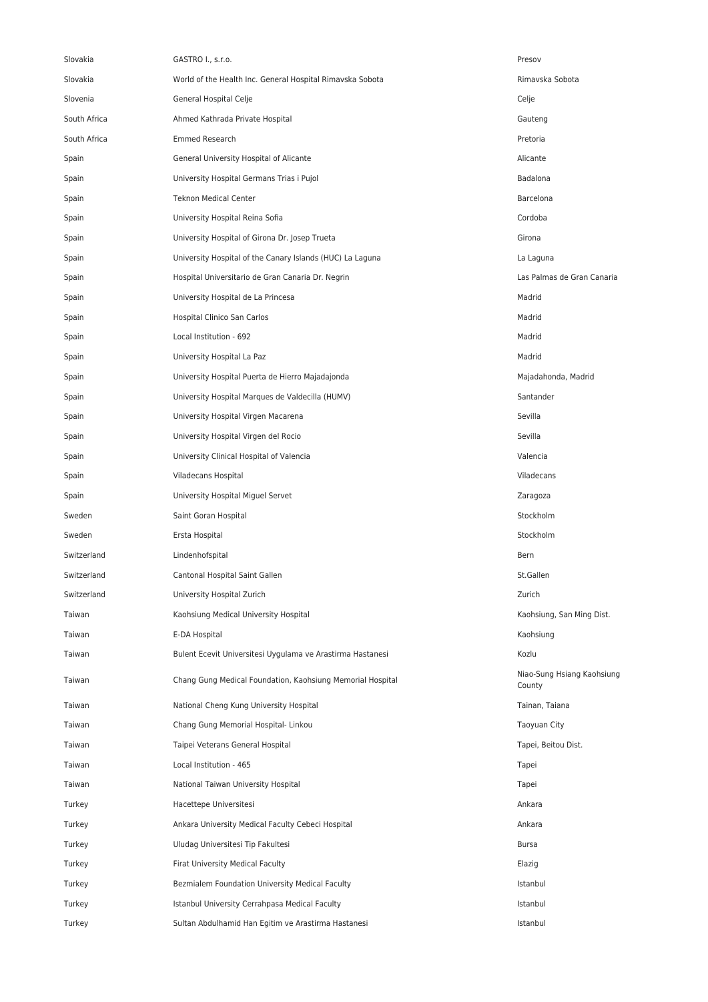| Slovakia     | GASTRO I., s.r.o.                                          | Presov                               |
|--------------|------------------------------------------------------------|--------------------------------------|
| Slovakia     | World of the Health Inc. General Hospital Rimavska Sobota  | Rimavska Sobota                      |
| Slovenia     | General Hospital Celje                                     | Celje                                |
| South Africa | Ahmed Kathrada Private Hospital                            | Gauteng                              |
| South Africa | <b>Emmed Research</b>                                      | Pretoria                             |
| Spain        | General University Hospital of Alicante                    | Alicante                             |
| Spain        | University Hospital Germans Trias i Pujol                  | Badalona                             |
| Spain        | <b>Teknon Medical Center</b>                               | Barcelona                            |
| Spain        | University Hospital Reina Sofia                            | Cordoba                              |
| Spain        | University Hospital of Girona Dr. Josep Trueta             | Girona                               |
| Spain        | University Hospital of the Canary Islands (HUC) La Laguna  | La Laguna                            |
| Spain        | Hospital Universitario de Gran Canaria Dr. Negrin          | Las Palmas de Gran Canaria           |
| Spain        | University Hospital de La Princesa                         | Madrid                               |
| Spain        | Hospital Clinico San Carlos                                | Madrid                               |
| Spain        | Local Institution - 692                                    | Madrid                               |
| Spain        | University Hospital La Paz                                 | Madrid                               |
| Spain        | University Hospital Puerta de Hierro Majadajonda           | Majadahonda, Madrid                  |
| Spain        | University Hospital Marques de Valdecilla (HUMV)           | Santander                            |
| Spain        | University Hospital Virgen Macarena                        | Sevilla                              |
| Spain        | University Hospital Virgen del Rocio                       | Sevilla                              |
| Spain        | University Clinical Hospital of Valencia                   | Valencia                             |
| Spain        | Viladecans Hospital                                        | Viladecans                           |
| Spain        | University Hospital Miguel Servet                          | Zaragoza                             |
| Sweden       | Saint Goran Hospital                                       | Stockholm                            |
| Sweden       | Ersta Hospital                                             | Stockholm                            |
| Switzerland  | Lindenhofspital                                            | Bern                                 |
| Switzerland  | Cantonal Hospital Saint Gallen                             | St.Gallen                            |
| Switzerland  | University Hospital Zurich                                 | Zurich                               |
| Taiwan       | Kaohsiung Medical University Hospital                      | Kaohsiung, San Ming Dist.            |
| Taiwan       | E-DA Hospital                                              | Kaohsiung                            |
| Taiwan       | Bulent Ecevit Universitesi Uygulama ve Arastirma Hastanesi | Kozlu                                |
| Taiwan       | Chang Gung Medical Foundation, Kaohsiung Memorial Hospital | Niao-Sung Hsiang Kaohsiung<br>County |
| Taiwan       | National Cheng Kung University Hospital                    | Tainan, Taiana                       |
| Taiwan       | Chang Gung Memorial Hospital-Linkou                        | Taoyuan City                         |
| Taiwan       | Taipei Veterans General Hospital                           | Tapei, Beitou Dist.                  |
| Taiwan       | Local Institution - 465                                    | Tapei                                |
| Taiwan       | National Taiwan University Hospital                        | Tapei                                |
| Turkey       | Hacettepe Universitesi                                     | Ankara                               |
| Turkey       | Ankara University Medical Faculty Cebeci Hospital          | Ankara                               |
| Turkey       | Uludag Universitesi Tip Fakultesi                          | <b>Bursa</b>                         |
| Turkey       | Firat University Medical Faculty                           | Elazig                               |
| Turkey       | Bezmialem Foundation University Medical Faculty            | Istanbul                             |
| Turkey       | Istanbul University Cerrahpasa Medical Faculty             | Istanbul                             |
| Turkey       | Sultan Abdulhamid Han Egitim ve Arastirma Hastanesi        | Istanbul                             |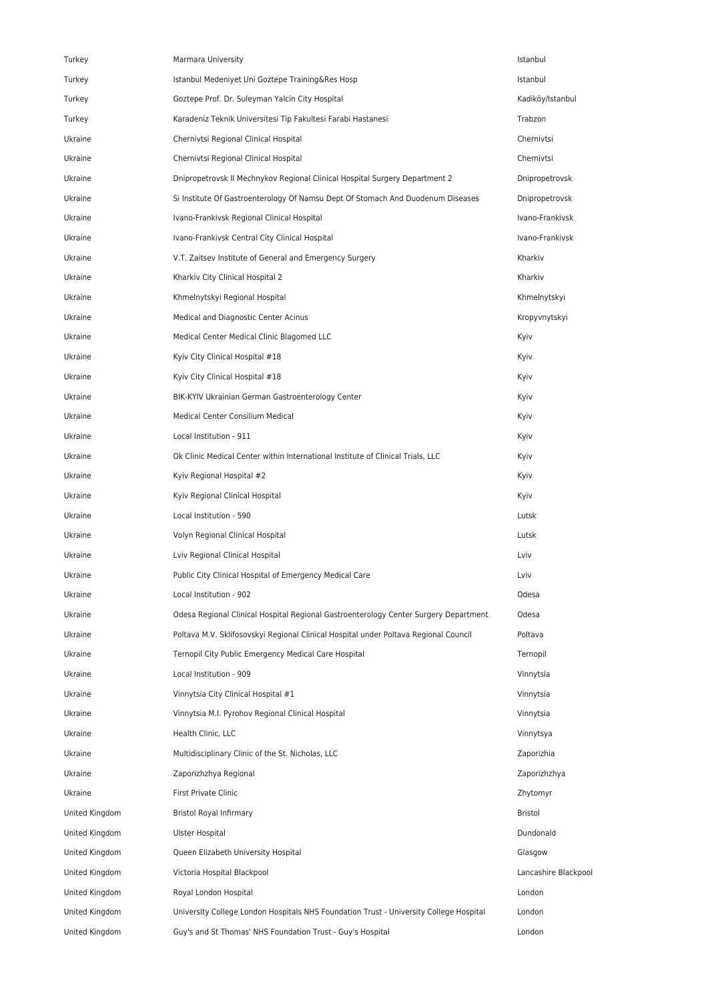| Turkey         | Marmara University                                                                     | Istanbul             |
|----------------|----------------------------------------------------------------------------------------|----------------------|
| Turkey         | Istanbul Medeniyet Uni Goztepe Training&Res Hosp                                       | Istanbul             |
| Turkey         | Goztepe Prof. Dr. Suleyman Yalcin City Hospital                                        | Kadiköy/Istanbul     |
| Turkey         | Karadeniz Teknik Universitesi Tip Fakultesi Farabi Hastanesi                           | Trabzon              |
| Ukraine        | Chernivtsi Regional Clinical Hospital                                                  | Chernivtsi           |
| Ukraine        | Chernivtsi Regional Clinical Hospital                                                  | Chernivtsi           |
| Ukraine        | Dnipropetrovsk II Mechnykov Regional Clinical Hospital Surgery Department 2            | Dnipropetrovsk       |
| Ukraine        | Si Institute Of Gastroenterology Of Namsu Dept Of Stomach And Duodenum Diseases        | Dnipropetrovsk       |
| Ukraine        | Ivano-Frankivsk Regional Clinical Hospital                                             | Ivano-Frankivsk      |
| Ukraine        | Ivano-Frankivsk Central City Clinical Hospital                                         | Ivano-Frankivsk      |
| Ukraine        | V.T. Zaitsev Institute of General and Emergency Surgery                                | Kharkiv              |
| Ukraine        | Kharkiv City Clinical Hospital 2                                                       | Kharkiv              |
| Ukraine        | Khmelnytskyi Regional Hospital                                                         | Khmelnytskyi         |
| Ukraine        | Medical and Diagnostic Center Acinus                                                   | Kropyvnytskyi        |
| Ukraine        | Medical Center Medical Clinic Blagomed LLC                                             | Kyiv                 |
| Ukraine        | Kyiv City Clinical Hospital #18                                                        | Kyiv                 |
| Ukraine        | Kyiv City Clinical Hospital #18                                                        | Kyiv                 |
| Ukraine        | BIK-KYIV Ukrainian German Gastroenterology Center                                      | Kyiv                 |
| Ukraine        | Medical Center Consilium Medical                                                       | Kyiv                 |
| Ukraine        | Local Institution - 911                                                                | Kyiv                 |
| Ukraine        | Ok Clinic Medical Center within International Institute of Clinical Trials, LLC        | Kyiv                 |
| Ukraine        | Kyiv Regional Hospital #2                                                              | Kyiv                 |
| Ukraine        | Kyiv Regional Clinical Hospital                                                        | Kyiv                 |
| Ukraine        | Local Institution - 590                                                                | Lutsk                |
| Ukraine        | Volyn Regional Clinical Hospital                                                       | Lutsk                |
| Ukraine        | Lviv Regional Clinical Hospital                                                        | Lviv                 |
| Ukraine        | Public City Clinical Hospital of Emergency Medical Care                                | Lviv                 |
| Ukraine        | Local Institution - 902                                                                | Odesa                |
| Ukraine        | Odesa Regional Clinical Hospital Regional Gastroenterology Center Surgery Department   | Odesa                |
| Ukraine        | Poltava M.V. Sklifosovskyi Regional Clinical Hospital under Poltava Regional Council   | Poltava              |
| Ukraine        | Ternopil City Public Emergency Medical Care Hospital                                   | Ternopil             |
| Ukraine        | Local Institution - 909                                                                | Vinnytsia            |
| Ukraine        | Vinnytsia City Clinical Hospital #1                                                    | Vinnytsia            |
| Ukraine        | Vinnytsia M.I. Pyrohov Regional Clinical Hospital                                      | Vinnytsia            |
| Ukraine        | Health Clinic, LLC                                                                     | Vinnytsya            |
| Ukraine        | Multidisciplinary Clinic of the St. Nicholas, LLC                                      | Zaporizhia           |
| Ukraine        | Zaporizhzhya Regional                                                                  | Zaporizhzhya         |
| Ukraine        | First Private Clinic                                                                   | Zhytomyr             |
| United Kingdom | Bristol Royal Infirmary                                                                | Bristol              |
| United Kingdom | Ulster Hospital                                                                        | Dundonald            |
| United Kingdom | Queen Elizabeth University Hospital                                                    | Glasgow              |
| United Kingdom | Victoria Hospital Blackpool                                                            | Lancashire Blackpool |
| United Kingdom | Royal London Hospital                                                                  | London               |
| United Kingdom | University College London Hospitals NHS Foundation Trust - University College Hospital | London               |
| United Kingdom | Guy's and St Thomas' NHS Foundation Trust - Guy's Hospital                             | London               |